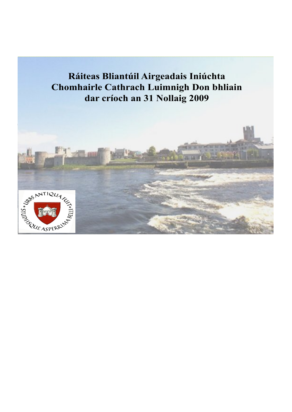**Chomhairle Cathrach Luimnigh Don bhliain dar críoch an 31 Nollaig 2009 Ráiteas Bliantúil Airgeadais Iniúchta**

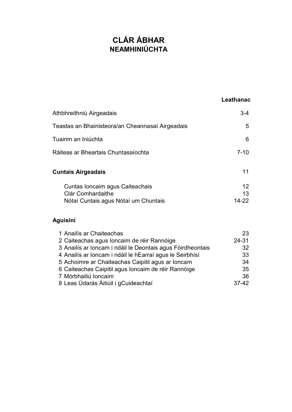# **CLÁR ÁBHAR NEAMHINIÚCHTA**

### **Leathanach**

| Athbhreithniú Airgeadais                             | 3-4                   |
|------------------------------------------------------|-----------------------|
| Teastas an Bhainisteora/an Cheannasaí Airgeadais     | 5                     |
| Tuairim an Iniúchta                                  | 6                     |
| Ráiteas ar Bheartais Chuntasaíochta                  | $7 - 10$              |
| Cuntais Airgeadais                                   | 11                    |
| Cuntas Ioncaim agus Caiteachais<br>Clár Comhardaithe | 12 <sup>2</sup><br>13 |
| Nótaí Cuntais agus Nótaí um Chuntais                 | 14-22                 |

Nótaí Cuntais agus Nótaí um Chuntais

# **Aguisíní**

| 1 Anailís ar Chaiteachas                                   | 23        |
|------------------------------------------------------------|-----------|
| 2 Caiteachas agus Ioncaim de réir Rannóige                 | $24 - 31$ |
| 3 Anailís ar Ioncam i ndáil le Deontais agus Fóirdheontais | 32        |
| 4 Anailís ar Ioncam i ndáil le hEarraí agus le Seirbhísí   | 33        |
| 5 Achoimre ar Chaiteachas Caipitil agus ar Ioncam          | 34        |
| 6 Caiteachas Caipitil agus Ioncaim de réir Rannóige        | 35        |
| 7 Mórbhailiú Ioncaim                                       | 36        |
| 8 Leas Údarás Áitiúil i gCuideachtaí                       | $37-42$   |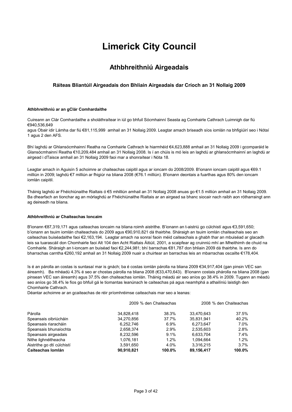# **Limerick City Council**

### **Athbhreithniú Airgeadais**

#### **Ráiteas Bliantúil Airgeadais don Bhliain Airgeadais dar Críoch an 31 Nollaig 2009**

#### **Athbhreithniú ar an gClár Comhardaithe**

Cuireann an Clár Comhardaithe a sholáthraítear in iúl go bhfuil Sócmhainní Seasta ag Comhairle Cathrach Luimnigh dar fiú €940,536,649

agus Obair idir Lámha dar fiú €81,115,999 amhail an 31 Nollaig 2009. Leagtar amach briseadh síos iomlán na bhfigiúirí seo i Nótaí 1 agus 2 den AFS.

Bhí laghdú ar Ghlansócmhainní Reatha na Comhairle Cathrach le hiarmhéid €4,623,888 amhail an 31 Nollaig 2009 i gcomparáid le Glansócmhainní Reatha €10,209,484 amhail an 31 Nollaig 2008. Is í an chúis is mó leis an laghdú ar ghlansócmhainní an laghdú ar airgead i dTaisce amhail an 31 Nollaig 2009 faoi mar a shonraítear i Nóta 18.

Leagtar amach in Aguisín 5 achoimre ar chaiteachas caipitil agus ar ioncam do 2008/2009. B'ionann ioncam caipitil agus €69.1 milliún in 2009; laghdú €7 milliún ar fhigiúr na bliana 2008 (€76.1 milliún). B'ionann deontais a fuarthas agus 80% den ioncam iomlán caipitil.

Tháinig laghdú ar Fhéichiúnaithe Rialtais ó €5 mhilliún amhail an 31 Nollaig 2008 anuas go €1.5 milliún amhail an 31 Nollaig 2009. Ba dhearfach an tionchar ag an mórlaghdú ar Fhéichiúnaithe Rialtais ar an airgead sa bhanc siocair nach raibh aon rótharraingt ann ag deireadh na bliana.

#### **Athbhreithniú ar Chaiteachas Ioncaim**

B'ionann €87,319,171 agus caiteachas ioncaim na bliana roimh aistrithe. B'ionann an t-aistriú go cúlchistí agus €3,591,650; b'ionann an tsuim iomlán chaiteachais do 2009 agus €90,910,821 dá thairbhe. Sháraigh an tsuim iomlán chaiteachais seo an caiteachas buiséadaithe faoi €2,163,194. Leagtar amach na sonraí faoin méid caiteachais a ghabh thar an mbuiséad ar glacadh leis sa tuarascáil don Chomhairle faoi Alt 104 den Acht Rialtais Áitiúil, 2001, a scaipfear ag cruinniú mhí an Mheithimh de chuid na Comhairle. Sháraigh an t-ioncam an buiséad faoi €2,244,981; bhí barrachas €81,787 don bhliain 2009 dá thairbhe. Is ann do bharrachas carntha €260,192 amhail an 31 Nollaig 2009 nuair a chuirtear an barrachas leis an mbarrachas oscailte €178,404.

Is é an párolla an costas is suntasaí mar is gnách; ba é costas iomlán párolla na bliana 2009 €34,917,404 (gan pinsin VEC san áireamh). Ba mhéadú 4.3% é seo ar chostas párolla na bliana 2008 (€33,470,643). B'ionann costais phárolla na bliana 2008 (gan pinsean VEC san áireamh) agus 37.5% den chaiteachas iomlán. Tháinig méadú air seo aníos go 38.4% in 2009. Tugann an méadú seo aníos go 38.4% le fios go bhfuil gá le tiomantas leanúnach le caiteachas pá agus neamhphá a athailíniú laistigh den Chomhairle Cathrach.

Déantar achoimre ar an gcaiteachas de réir príomhréimse caiteachais mar seo a leanas:

|                            |            | 2009 % den Chaiteachas |            | 2008 % den Chaiteachas |
|----------------------------|------------|------------------------|------------|------------------------|
| Párolla                    | 34,828,418 | 38.3%                  | 33,470,643 | 37.5%                  |
| Speansais oibriúcháin      | 34.270.856 | 37.7%                  | 35.831.941 | 40.2%                  |
| Speansais riaracháin       | 6,252,746  | 6.9%                   | 6,273,647  | 7.0%                   |
| Speansais bhunaíochta      | 2.658.374  | 2.9%                   | 2.535.603  | 2.8%                   |
| Speansais airgeadais       | 8,232,596  | 9.1%                   | 6,633,704  | $7.4\%$                |
| Nithe ilghnéitheacha       | 1.076.181  | 1.2%                   | 1.094.664  | 1.2%                   |
| Aistrithe go dtí cúlchistí | 3,591,650  | 4.0%                   | 3,316,215  | $3.7\%$                |
| Caiteachas Iomlán          | 90.910.821 | 100.0%                 | 89,156,417 | 100.0%                 |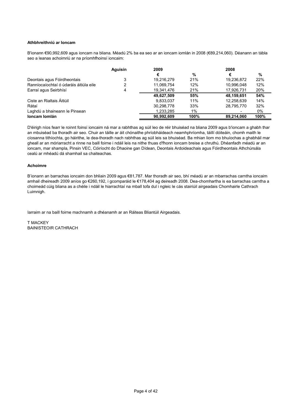#### **Athbhreithniú ar Ioncam**

B'ionann €90,992,609 agus ioncam na bliana. Méadú 2% ba ea seo ar an ioncam iomlán in 2008 (€89,214,060). Déanann an tábla seo a leanas achoimriú ar na príomhfhoinsí ioncaim:

|                                        | Aguisín | 2009       |       | 2008       |      |
|----------------------------------------|---------|------------|-------|------------|------|
|                                        |         | €          | %     | €          | %    |
| Deontais agus Fóirdheontais            |         | 19,216,279 | 21%   | 19,236,872 | 22%  |
| Ranníocaíochtaí ó údaráis áitiúla eile | 2       | 11.069.754 | 12%   | 10.996.048 | 12%  |
| Earraí agus Seirbhísí                  | 4       | 19,341,476 | 21%   | 17.926.731 | 20%  |
|                                        |         | 49,627,509 | 55%   | 48,159,651 | 54%  |
| Ciste an Rialtais Áitiúil              |         | 9,833,037  | 11%   | 12,258,639 | 14%  |
| Rátaí                                  |         | 30.298.778 | 33%   | 28.795.770 | 32%  |
| Laghdú a bhaineann le Pinsean          |         | 1.233.285  | $1\%$ |            | 0%   |
| Ioncam Iomlán                          |         | 90.992.609 | 100%  | 89.214.060 | 100% |

D'éirigh níos fearr le roinnt foinsí ioncaim ná mar a rabhthas ag súil leo de réir bhuiséad na bliana 2009 agus b'ioncam a ghabh thar an mbuiséad ba thoradh air seo. Chuir an táille ar áit chónaithe phríobháideach neamhphríomha, táillí dóiteáin, chomh maith le cíosanna tithíochta, go háirithe, le dea-thoradh nach rabhthas ag súil leis sa bhuiséad. Ba mhian liom mo bhuíochas a ghabháil mar gheall ar an móriarracht a rinne na baill foirne i ndáil leis na nithe thuas d'fhonn ioncam breise a chruthú. Dhéanfadh méadú ar an ioncam, mar shampla, Pinsin VEC, Cóiríocht do Dhaoine gan Dídean, Deontais Ardoideachais agus Fóirdheontais Athchúrsála cealú ar mhéadú dá shamhail sa chaiteachas.

#### **Achoimre**

B'ionann an barrachas ioncaim don bhliain 2009 agus €81,787. Mar thoradh air seo, bhí méadú ar an mbarrachas carntha ioncaim amhail dheireadh 2009 aníos go €260,192, i gcomparáid le €178,404 ag deireadh 2008. Dea-chomhartha is ea barrachas carntha a choimeád cúig bliana as a chéile i ndáil le hiarrachtaí na mball tofa dul i ngleic le cás stairiúil airgeadais Chomhairle Cathrach Luimnigh.

Iarraim ar na baill foirne machnamh a dhéanamh ar an Ráiteas Bliantúil Airgeadais.

T MACKEY BAINISTEOIR CATHRACH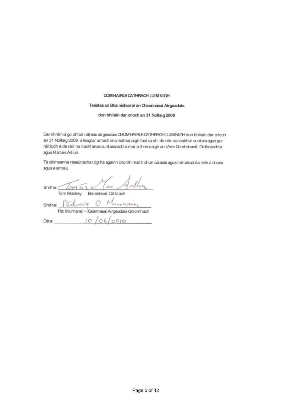#### COM HAIRLE CATHRACH LUIM NIGH

#### Teastas an Bhainisteora/ an Cheannasaí Airgeadais

don bhliain dar críoch an 31 Nollaig 2009

deimhnímid go bhfuil ráiteas airgeadais chomhairle chomhairle chomhairle cathrach luimnigh don bhliain don bhl<br>Deimhnímid go bhliain dar críochtaí air an críochtaí air an críochtaí air an críochtaí air an críochtaí air an

Deimhnímid go bhfuil ráiteas airgeadais CHOMHAIRLE CATHRACH LUIMNIGH don bhliain dar críoch an 31 Nollaig 2009, a leagtar amach sna leathanaigh faoi iamh, de réir na leabhar cuntais agus gur<br>réitíodh é de réir na riachtanas cuntasaíochta mar a threoraigh an tAire Comhshaoil, Oidhreachta agus Raltais Áitiúil.

Tá céimeanna réasúnacha tógtha againn chomh maith chun calaois agus mírialtachtaí eile a chosc agus a aimsiú.

 $\mathcal{S}$  is the sinite of  $\mathcal{S}$  $T$  M  $\overline{ }$  $S$ nithe:  $aday$  Ulunach  $Dáta$   $10/06/2010$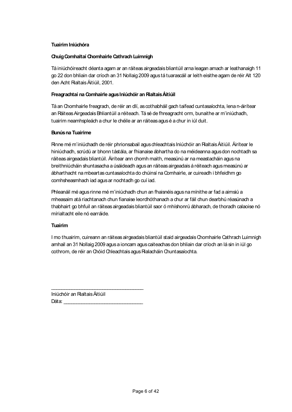#### **Tuairim Iniúchóra**

#### **Chuig Comhaltaí Chomhairle Cathrach Luimnigh**

Tá iniúchóireacht déanta agam ar an ráiteas airgeadais bliantúil arna leagan amach ar leathanaigh 11 go 22 don bhliain dar críoch an 31 Nollaig 2009 agus tá tuarascáil ar leith eisithe agam de réir Alt 120 den Acht Rialtais Áitiúil, 2001.

#### **Freagrachtaí na Comhairle agus Iniúchóir an Rialtais Áitiúil**

Tá an Chomhairle freagrach, de réir an dlí, as cothabháil gach taifead cuntasaíochta, lena n-áirítear an RáiteasAirgeadais Bhliantúil a réiteach. Tá sé de fhreagracht orm, bunaithe ar m'iniúchadh, tuairim neamhspleách a chur le chéile ar an ráiteas agus é a chur in iúl duit.

#### **Bunús na Tuairime**

Rinne mé m'iniúchadh de réir phrionsabail agus chleachtais Iniúchóir an Rialtais Áitiúil. Áirítear le hiniúchadh, scrúdú ar bhonn tástála, ar fhianaise ábhartha do na méideanna agus don nochtadh sa ráiteas airgeadais bliantúil. Áirítear ann chomh maith, measúnú ar na meastacháin agus na breithniúcháin shuntasacha a úsáideadh agus an ráiteas airgeadais á réiteach agus measúnú ar ábharthacht na mbeartas cuntasaíochta do chúinsí na Comhairle, ar cuireadh i bhfeidhm go comhsheasmhach iad agusar nochtadh go cuí iad.

Phleanáil mé agus rinne mé m'iniúchadh chun an fhaisnéis agus na mínithe ar fad a aimsiú a mheasaim atá riachtanach chun fianaise leordhóthanach a chur ar fáil chun dearbhú réasúnach a thabhairt go bhfuil an ráiteas airgeadais bliantúil saor ó mhíshonrú ábharach, de thoradh calaoise nó mírialtacht eile nó earráide.

#### **Tuairim**

I mo thuairim, cuireann an ráiteas airgeadais bliantúil staid airgeadais Chomhairle Cathrach Luimnigh amhail an 31 Nollaig 2009 agus a ioncam agus caiteachas don bhliain dar críoch an lá sin in iúl go cothrom, de réir an Chóid Chleachtais agus Rialacháin Chuntasaíochta.

Iniúchóir an Rialtais Áitiúil Dáta:

\_\_\_\_\_\_\_\_\_\_\_\_\_\_\_\_\_\_\_\_\_\_\_\_\_\_\_\_\_\_\_\_\_\_\_\_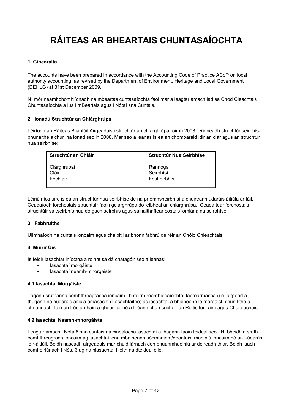# **RÁITEAS AR BHEARTAIS CHUNTASAÍOCHTA**

#### **1. Ginearálta**

The accounts have been prepared in accordance with the Accounting Code of Practice ACoP on local authority accounting, as revised by the Department of Environment, Heritage and Local Government (DEHLG) at 31st December 2009.

Ní mór neamhchomhlíonadh na mbeartas cuntasaíochta faoi mar a leagtar amach iad sa Chód Cleachtais Chuntasaíochta a lua i mBeartais agus i Nótaí sna Cuntais.

#### **2. Ionadú Struchtúr an Chlárghrúpa**

Léiríodh an Ráiteas Bliantúil Airgeadais i struchtúr an chlárghrúpa roimh 2008. Rinneadh struchtúr seirbhísbhunaithe a chur ina ionad seo in 2008. Mar seo a leanas is ea an chomparáid idir an clár agus an struchtúr nua seirbhíse:

| Struchtúr an Chláir | <b>Struchtúr Nua Seirbhíse</b> |
|---------------------|--------------------------------|
|                     |                                |
| Clárghrúpaí         | Rannóga                        |
| <b>Cláir</b>        | Seirbhísí                      |
| Fochláir            | Fosheirbhísí                   |
|                     |                                |

Léiriú níos úire is ea an struchtúr nua seirbhíse de na príomhsheirbhísí a chuireann údaráis áitiúla ar fáil. Ceadaíodh forchostais struchtúir faoin gclárghrúpa do leibhéal an chlárghrúpa. Ceadaítear forchostais struchtúir sa tseirbhís nua do gach seirbhís agus sainaithnítear costais iomlána na seirbhíse.

#### **3. Fabhruithe**

Ullmhaíodh na cuntais ioncaim agus chaipitil ar bhonn fabhrú de réir an Chóid Chleachtais.

#### **4. Muirir Úis**

Is féidir iasachtaí iníoctha a roinnt sa dá chatagóir seo a leanas:

- Iasachtaí morgáiste
- Iasachtaí neamh-mhorgáiste

#### **4.1 Iasachtaí Morgáiste**

Tagann sruthanna comhfhreagracha ioncaim i bhfoirm réamhíocaíochtaí fadtéarmacha (i.e. airgead a thugann na húdaráis áitiúla ar iasacht d'iasachtaithe) as iasachtaí a bhaineann le morgáistí chun tithe a cheannach. Is é an t-ús amháin a ghearrtar nó a théann chun sochair an Ráitis Ioncaim agus Chaiteachais.

#### **4.2 Iasachtaí Neamh-mhorgáiste**

Leagtar amach i Nóta 8 sna cuntais na cineálacha iasachtaí a thagann faoin teideal seo. Ní bheidh a sruth comhfhreagrach ioncaim ag iasachtaí lena mbaineann sócmhainní/deontais, maoiniú ioncaim nó an t-údarás idir-áitiúil. Beidh nascadh airgeadais mar chuid lárnach den bhuanmhaoiniú ar deireadh thiar. Beidh luach comhoiriúnach i Nóta 3 ag na hiasachtaí i leith na dteideal eile.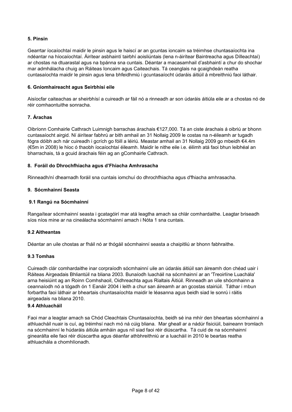#### **5. Pinsin**

Gearrtar íocaíochtaí maidir le pinsin agus le haiscí ar an gcuntas ioncaim sa tréimhse chuntasaíochta ina ndéantar na híocaíochtaí. Áirítear asbhaintí tairbhí aoisliúntais (lena n-áirítear Baintreacha agus Dílleachtaí) ar chostas na dtuarastal agus na bpánna sna cuntais. Déantar a macasamhail d'asbhaintí a chur do shochar mar admhálacha chuig an Ráiteas Ioncaim agus Caiteachais. Tá ceanglais na gcaighdeán reatha cuntasaíochta maidir le pinsin agus lena bhfeidhmiú i gcuntasaíocht údaráis áitiúil á mbreithniú faoi láthair.

#### **6. Gníomhaireacht agus Seirbhísí eile**

Aisíocfar caiteachas ar sheirbhísí a cuireadh ar fáil nó a rinneadh ar son údaráis áitiúla eile ar a chostas nó de réir comhaontuithe sonracha.

#### **7. Árachas**

Oibríonn Comhairle Cathrach Luimnigh barrachas árachais €127,000. Tá an ciste árachais á oibriú ar bhonn cuntasaíocht airgid. Ní áirítear fabhrú ar bith amhail an 31 Nollaig 2009 le costas na n-éileamh ar tugadh fógra dóibh ach nár cuireadh i gcrích go fóill a léiriú. Meastar amhail an 31 Nollaig 2009 go mbeidh €4.4m (€5m in 2008) le híoc ó thaobh íocaíochtaí éileamh. Maidir le nithe eile i.e. éilimh atá faoi bhun leibhéal an bharrachais, tá a gcuid árachais féin ag an gComhairle Cathrach.

#### **8. Foráil do Dhrochfhiacha agus d'Fhiacha Amhrasacha**

Rinneadh/ní dhearnadh foráil sna cuntais iomchuí do dhrochfhiacha agus d'fhiacha amhrasacha.

#### **9. Sócmhainní Seasta**

#### **9.1 Rangú na Sócmhainní**

Rangaítear sócmhainní seasta i gcatagóirí mar atá leagtha amach sa chlár comhardaithe. Leagtar briseadh síos níos mine ar na cineálacha sócmhainní amach i Nóta 1 sna cuntais.

#### **9.2 Aitheantas**

Déantar an uile chostas ar fháil nó ar thógáil sócmhainní seasta a chaipitliú ar bhonn fabhraithe.

#### **9.3 Tomhas**

Cuireadh clár comhardaithe inar corpraíodh sócmhainní uile an údaráis áitiúil san áireamh don chéad uair i Ráiteas Airgeadais Bhliantúil na bliana 2003. Bunaíodh luacháil na sócmhainní ar an 'Treoirlíne Luachála' arna heisiúint ag an Roinn Comhshaoil, Oidhreachta agus Rialtais Áitiúil. Rinneadh an uile shócmhainn a ceannaíodh nó a tógadh ón 1 Eanáir 2004 i leith a chur san áireamh ar an gcostas stairiúil. Táthar i mbun forbartha faoi láthair ar bheartais chuntasaíochta maidir le léasanna agus beidh siad le sonrú i ráitis airgeadais na bliana 2010.

#### **9.4 Athluacháil**

Faoi mar a leagtar amach sa Chód Cleachtais Chuntasaíochta, beidh sé ina mhír den bheartas sócmhainní a athluacháil nuair is cuí, ag tréimhsí nach mó ná cúig bliana. Mar gheall ar a nádúr fisiciúil, baineann tromlach na sócmhainní le húdaráis áitiúla amháin agus níl siad faoi réir diúscartha. Tá cuid de na sócmhainní ginearálta eile faoi réir diúscartha agus déanfar athbhreithniú ar a luacháil in 2010 le beartas reatha athluachála a chomhlíonadh.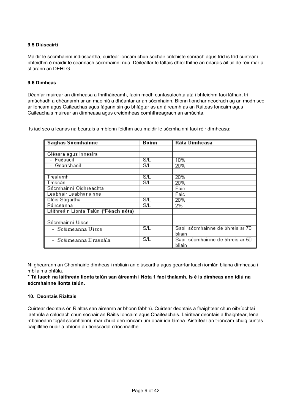#### **9.5 Diúscairtí**

Maidir le sócmhainní indiúscartha, cuirtear ioncam chun sochair cúlchiste sonrach agus tríd is tríd cuirtear i bhfeidhm é maidir le ceannach sócmhainní nua. Déileálfar le fáltais dhíol thithe an údaráis áitiúil de réir mar a stiúrann an DEHLG.

#### **9.6 Dímheas**

Déanfar muirear an dímheasa a fhritháireamh, faoin modh cuntasaíochta atá i bhfeidhm faoi láthair, trí amúchadh a dhéanamh ar an maoiniú a dhéantar ar an sócmhainn. Bíonn tionchar neodrach ag an modh seo ar Ioncam agus Caiteachas agus fágann sin go bhfágtar as an áireamh as an Ráiteas Ioncaim agus Caiteachais muirear an dímheasa agus creidmheas comhfhreagrach an amúchta.

Is iad seo a leanas na beartais a mbíonn feidhm acu maidir le sócmhainní faoi réir dímheasa:

| Saghas Sócmhainne                     | Boinn                   | Ráta Dímheasa                    |
|---------------------------------------|-------------------------|----------------------------------|
|                                       |                         |                                  |
| Gléasra agus Innealra                 |                         |                                  |
| - Fadsaoil                            | S/L                     | 10%                              |
| - Gearrshaoil                         | <b>S/L</b>              | 20%                              |
|                                       |                         |                                  |
| Trealamh                              | <b>S/L</b>              | 20%                              |
| Troscán                               | $\overline{\text{S/L}}$ | 20%                              |
| Sócmhainní Oidhreachta                |                         | Faic                             |
| Leabhair Leabharlainne                |                         | Faic                             |
| Clóis Súgartha                        | ΞÆ                      | 20%                              |
| Páirceanna                            | ΞÆ                      | 2%                               |
| Láithreáin Líonta Talún (*Féach nóta) |                         |                                  |
|                                       |                         |                                  |
| Sócmhainní Uisce                      |                         |                                  |
| - Scéimeanna Uisce                    | SΛ                      | Saoil sócmhainne de bhreis ar 70 |
|                                       |                         | bliain                           |
| - Scéimeanna Draenála                 | ΞÆ                      | Saoil sócmhainne de bhreis ar 50 |
|                                       |                         | bliain                           |

Ní ghearrann an Chomhairle dímheas i mbliain an diúscartha agus gearrfar luach iomlán bliana dímheasa i mbliain a bhfála.

#### **\* Tá luach na láithreán líonta talún san áireamh i Nóta 1 faoi thalamh. Is é is dímheas ann ídiú na sócmhainne líonta talún.**

#### **10. Deontais Rialtais**

Cuirtear deontais ón Rialtas san áireamh ar bhonn fabhrú. Cuirtear deontais a fhaightear chun oibríochtaí laethúla a chlúdach chun sochair an Ráitis Ioncaim agus Chaiteachais. Léirítear deontais a fhaightear, lena mbaineann tógáil sócmhainní, mar chuid den ioncam um obair idir lámha. Aistrítear an t-ioncam chuig cuntas caipitlithe nuair a bhíonn an tionscadal críochnaithe.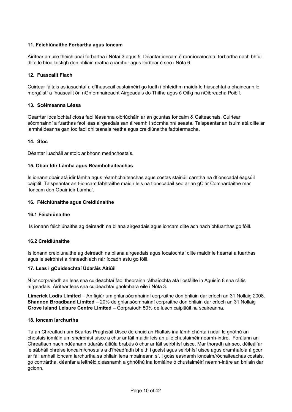#### **11. Féichiúnaithe Forbartha agus Ioncam**

Áirítear an uile fhéichiúnaí forbartha i Nótaí 3 agus 5. Déantar ioncam ó ranníocaíochtaí forbartha nach bhfuil dlite le híoc laistigh den bhliain reatha a iarchur agus léirítear é seo i Nóta 6.

#### **12. Fuascailt Fiach**

Cuirtear fáltais as iasachtaí a d'fhuascail custaiméirí go luath i bhfeidhm maidir le hiasachtaí a bhaineann le morgáistí a fhuascailt ón nGníomhaireacht Airgeadais do Thithe agus ó Oifig na nOibreacha Poiblí.

#### **13. Scéimeanna Léasa**

Gearrtar íocaíochtaí cíosa faoi léasanna oibriúcháin ar an gcuntas Ioncaim & Caiteachais. Cuirtear sócmhainní a fuarthas faoi léas airgeadais san áireamh i sócmhainní seasta. Taispeántar an tsuim atá dlite ar iarmhéideanna gan íoc faoi dhliteanais reatha agus creidiúnaithe fadtéarmacha.

#### **14. Stoc**

Déantar luacháil ar stoic ar bhonn meánchostais.

#### **15. Obair Idir Lámha agus Réamhchaiteachas**

Is ionann obair atá idir lámha agus réamhchaiteachas agus costas stairiúil carntha na dtionscadal éagsúil caipitil. Taispeántar an t-ioncam fabhraithe maidir leis na tionscadail seo ar an gClár Comhardaithe mar 'Ioncam don Obair idir Lámha'.

#### **16. Féichiúnaithe agus Creidiúnaithe**

#### **16.1 Féichiúnaithe**

Is ionann féichiúnaithe ag deireadh na bliana airgeadais agus ioncam dlite ach nach bhfuarthas go fóill.

#### **16.2 Creidiúnaithe**

Is ionann creidiúnaithe ag deireadh na bliana airgeadais agus íocaíochtaí dlite maidir le hearraí a fuarthas agus le seirbhísí a rinneadh ach nár íocadh astu go fóill.

#### **17. Leas i gCuideachtaí Údaráis Áitiúil**

Níor corpraíodh an leas sna cuideachtaí faoi theorainn ráthaíochta atá liostáilte in Aguisín 8 sna ráitis airgeadais. Áirítear leas sna cuideachtaí gaolmhara eile i Nóta 3.

**Limerick Lodis Limited** – An figiúr um ghlansócmhainní corpraithe don bhliain dar críoch an 31 Nollaig 2008. **Shannon Broadband Limited** – 20% de ghlansócmhainní corpraithe don bhliain dar críoch an 31 Nollaig **Grove Island Leisure Centre Limited** – Corpraíodh 50% de luach caipitiúil na scaireanna.

#### **18. Ioncam Iarchurtha**

Tá an Chreatlach um Beartas Praghsáil Uisce de chuid an Rialtais ina lámh chúnta i ndáil le gnóthú an chostais iomláin um sheirbhísí uisce a chur ar fáil maidir leis an uile chustaiméir neamh-intíre. Forálann an Chreatlach nach ndéanann údaráis áitiúla brabús ó chur ar fáil seirbhísí uisce. Mar thoradh air seo, déileálfar le sábháil bhreise ioncaim/chostais a d'fhéadfadh bheith i gceist agus seirbhísí uisce agus dramhaíola á gcur ar fáil amhail ioncam iarchurtha sa bhliain lena mbaineann sí. I gcás easnamh ioncaim/róchaiteachas costais, go contrártha, déanfar a leithéid d'easnamh a ghnóthú ina iomláine ó chustaiméirí neamh-intíre an bhliain dar gcionn.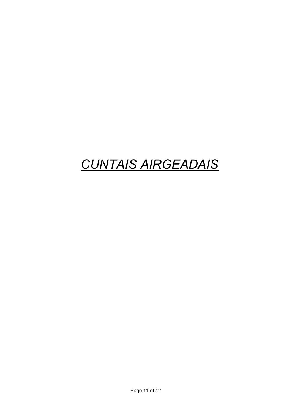# *CUNTAIS AIRGEADAIS*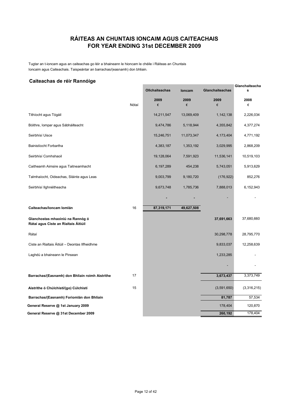### **FOR YEAR ENDING 31st DECEMBER 2009 RÁITEAS AN CHUNTAIS IONCAIM AGUS CAITEACHAIS**

Tugtar an t-ioncam agus an caiteachas go léir a bhaineann le hioncam le chéile i Ráiteas an Chuntais Ioncaim agus Caiteachais. Taispeántar an barrachas/(easnamh) don bhliain.

#### **Caiteachas de réir Rannóige**

| Calleachas de feir Raillioige                                            |       |                       |            |                        | Glanchaiteacha |
|--------------------------------------------------------------------------|-------|-----------------------|------------|------------------------|----------------|
|                                                                          |       | <b>Ollchaiteachas</b> | loncam     | <b>Glanchaiteachas</b> | s              |
|                                                                          | Nótaí | 2009<br>€             | 2009<br>€  | 2009<br>€              | 2008<br>€      |
| Tithíocht agus Tógáil                                                    |       | 14,211,547            | 13,069,409 | 1,142,138              | 2,226,034      |
| Bóithre, Iompar agus Sábháilteacht                                       |       | 9,474,786             | 5,118,944  | 4,355,842              | 4,377,274      |
| Seirbhísí Uisce                                                          |       | 15,246,751            | 11,073,347 | 4,173,404              | 4,771,192      |
| Bainistíocht Forbartha                                                   |       | 4,383,187             | 1,353,192  | 3,029,995              | 2,868,209      |
| Seirbhísí Comhshaoil                                                     |       | 19,128,064            | 7,591,923  | 11,536,141             | 10,519,103     |
| Caitheamh Aimsire agus Taitneamhacht                                     |       | 6,197,289             | 454,238    | 5,743,051              | 5,913,629      |
| Talmhaíocht, Oideachas, Sláinte agus Leas                                |       | 9,003,799             | 9,180,720  | (176, 922)             | 852,276        |
| Seirbhísí Ilghnéitheacha                                                 |       | 9,673,748             | 1,785,736  | 7,888,013              | 6,152,943      |
|                                                                          |       |                       |            |                        |                |
| Caiteachas/loncam Iomlán                                                 | 16    | 87,319,171            | 49,627,508 |                        |                |
| Glanchostas mhaoiniú na Rannóg ó<br>Rátaí agus Ciste an Rialtais Áitiúil |       |                       |            | 37,691,663             | 37,680,660     |
| Rátaí                                                                    |       |                       |            | 30,298,778             | 28,795,770     |
| Ciste an Rialtais Áitiúil - Deontas Ilfheidhme                           |       |                       |            | 9,833,037              | 12,258,639     |
| Laghdú a bhaineann le Pinsean                                            |       |                       |            | 1,233,285              |                |
|                                                                          |       |                       |            |                        |                |
| Barrachas/(Easnamh) don Bhliain roimh Aistrithe                          | 17    |                       |            | 3,673,437              | 3,373,749      |
| Aistrithe ó Chúlchistí/(go) Cúlchistí                                    | 15    |                       |            | (3,591,650)            | (3,316,215)    |
| Barrachas/(Easnamh) Foriomlán don Bhliain                                |       |                       |            | 81,787                 | 57,534         |
| General Reserve @ 1st January 2009                                       |       |                       |            | 178,404                | 120,870        |
| General Reserve @ 31st December 2009                                     |       |                       |            | 260,192                | 178,404        |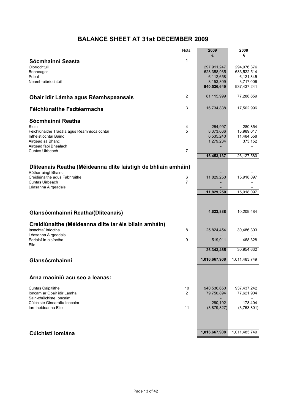# **BALANCE SHEET AT 31st DECEMBER 2009**

|                                                                | Nótaí          | 2009                     | 2008                     |
|----------------------------------------------------------------|----------------|--------------------------|--------------------------|
|                                                                | $\mathbf{1}$   | €                        | €                        |
| Sócmhainní Seasta                                              |                |                          |                          |
| Oibríochtúil                                                   |                | 297,911,247              | 294,076,376              |
| Bonneagar<br>Pobal                                             |                | 628,358,935<br>6,112,658 | 633,522,514<br>6,121,345 |
| Neamh-oibríochtúil                                             |                | 8,153,809                | 3,717,006                |
|                                                                |                | 940,536,649              | 937,437,241              |
|                                                                |                |                          |                          |
| Obair idir Lámha agus Réamhspeansais                           | $\overline{2}$ | 81,115,999               | 77,288,659               |
| Féichiúnaithe Fadtéarmacha                                     | 3              | 16,734,838               | 17,502,996               |
| Sócmhainní Reatha                                              |                |                          |                          |
| Stoic<br>Féichiúnaithe Trádála agus Réamhíocaíochtaí           | 4<br>5         | 264,997<br>8,373,666     | 280,854<br>13,989,017    |
| Infheistíochtaí Bainc                                          |                | 6,535,240                | 11,484,558               |
| Airgead sa Bhanc                                               |                | 1,279,234                | 373,152                  |
| Airgead faoi Bhealach                                          |                |                          |                          |
| Cuntas Uirbeach                                                | $\overline{7}$ |                          |                          |
|                                                                |                | 16,453,137               | 26,127,580               |
|                                                                |                |                          |                          |
| Dliteanais Reatha (Méideanna dlite laistigh de bhliain amháin) |                |                          |                          |
| Rótharraingt Bhainc                                            |                |                          |                          |
| Creidiúnaithe agus Fabhruithe                                  | 6              | 11,829,250               | 15,918,097               |
| Cuntas Uirbeach                                                | $\overline{7}$ |                          |                          |
| Léasanna Airgeadais                                            |                | 11,829,250               | 15,918,097               |
|                                                                |                |                          |                          |
|                                                                |                |                          |                          |
|                                                                |                |                          |                          |
| Glansócmhainní Reatha/(Dliteanais)                             |                | 4,623,888                | 10,209,484               |
|                                                                |                |                          |                          |
| Creidiúnaithe (Méideanna dlite tar éis bliain amháin)          |                |                          |                          |
| lasachtaí Iníoctha                                             | 8              | 25,824,454               | 30,486,303               |
| Léasanna Airgeadais                                            |                |                          |                          |
| Éarlaisí In-aisíoctha                                          | 9              | 519,011                  | 468,328                  |
| Eile                                                           |                |                          | 30,954,632               |
|                                                                |                | 26,343,465               |                          |
| Glansócmhainní                                                 |                | 1,016,667,908            | 1,011,483,749            |
|                                                                |                |                          |                          |
|                                                                |                |                          |                          |
| Arna maoiniú acu seo a leanas:                                 |                |                          |                          |
| <b>Cuntas Caipitlithe</b>                                      | 10             | 940,536,650              | 937,437,242              |
| Ioncam ar Obair idir Lámha                                     | 2              | 79,750,894               | 77,621,904               |
| Sain-chúlchiste Ioncaim                                        |                |                          |                          |
| Cúlchiste Ginearálta Ioncaim                                   |                | 260,192                  | 178,404                  |
| Iarmhéideanna Eile                                             | 11             | (3,879,827)              | (3,753,801)              |
|                                                                |                |                          |                          |
|                                                                |                |                          |                          |
|                                                                |                |                          |                          |
| Cúlchistí Iomlána                                              |                | 1,016,667,908            | 1,011,483,749            |
|                                                                |                |                          |                          |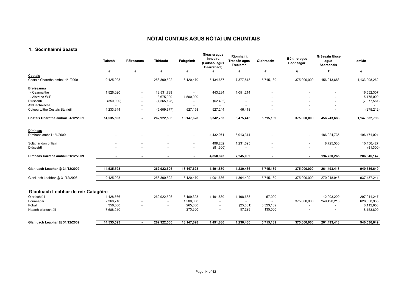#### **1. Sócmhainní Seasta**

|                                             | Talamh         | Páirceanna               | <b>Tithíocht</b>         | Foirgnimh                | Gléasra agus<br>Innealra<br>(Fadsaol agus<br>Gearrshaol) | Ríomhairí,<br>Troscán agus<br>Trealamh | Oidhreacht               | Bóithre agus<br>Bonneagar | Gréasáin Uisce<br>agus<br>Séarachais | Iomlán        |
|---------------------------------------------|----------------|--------------------------|--------------------------|--------------------------|----------------------------------------------------------|----------------------------------------|--------------------------|---------------------------|--------------------------------------|---------------|
|                                             | €              | €                        | €                        | €                        | €                                                        | €                                      | €                        | €                         | €                                    | €             |
| Costais<br>Costais Charntha amhail 1/1/2009 | 9,125,928      | $\overline{\phantom{a}}$ | 258,890,522              | 16,120,470               | 5,434,657                                                | 7,377,813                              | 5,715,189                | 375,000,000               | 456,243,683                          | 1,133,908,262 |
| <b>Breiseanna</b>                           |                |                          |                          |                          |                                                          |                                        |                          |                           |                                      |               |
| - Ceannaithe                                | 1,526,020      |                          | 13,531,789               | $\overline{\phantom{a}}$ | 443,284                                                  | 1,051,214                              |                          |                           |                                      | 16,552,307    |
| - Aistrithe WIP                             |                |                          | 3,675,000                | 1,500,000                |                                                          |                                        |                          |                           |                                      | 5,175,000     |
| Diúscairtí                                  | (350,000)      |                          | (7, 565, 128)            | $\overline{\phantom{a}}$ | (62, 432)                                                |                                        |                          |                           |                                      | (7, 977, 561) |
| Athluachálacha                              |                |                          |                          |                          |                                                          |                                        |                          |                           |                                      |               |
| Coigeartuithe Costais Stairiúil             | 4,233,644      | $\overline{\phantom{a}}$ | (5,609,677)              | 527,158                  | 527,244                                                  | 46,418                                 |                          |                           |                                      | (275, 212)    |
| Costais Charntha amhail 31/12/2009          | 14,535,593     | $\sim$                   | 262,922,506              | 18,147,628               | 6,342,753                                                | 8,475,445                              | 5,715,189                | 375,000,000               | 456,243,683                          | 1,147,382,796 |
| <b>Dímheas</b>                              |                |                          |                          |                          |                                                          |                                        |                          |                           |                                      |               |
| Dímheas amhail 1/1/2009                     |                |                          |                          | $\overline{\phantom{a}}$ | 4,432,971                                                | 6,013,314                              |                          |                           | 186,024,735                          | 196,471,021   |
| Soláthar don bhliain                        |                |                          |                          | $\overline{\phantom{a}}$ | 499,202                                                  | 1,231,695                              |                          |                           | 8,725,530                            | 10,456,427    |
| Diúscairtí                                  |                |                          |                          | $\overline{\phantom{a}}$ | (81,300)                                                 |                                        |                          |                           |                                      | (81,300)      |
| Dímheas Carntha amhail 31/12/2009           | $\blacksquare$ | $\blacksquare$           | ٠                        | $\blacksquare$           | 4,850,873                                                | 7,245,009                              | ٠                        | $\overline{\phantom{a}}$  | 194,750,265                          | 206,846,147   |
| Glanluach Leabhar @ 31/12/2009              | 14,535,593     | $\sim$                   | 262,922,506              | 18,147,628               | 1,491,880                                                | 1,230,436                              | 5,715,189                | 375,000,000               | 261,493,418                          | 940,536,649   |
| Glanluach Leabhar @ 31/12/2008              | 9,125,928      | $\overline{\phantom{a}}$ | 258,890,522              | 16,120,470               | 1,001,686                                                | 1,364,499                              | 5,715,189                | 375,000,000               | 270,218,948                          | 937,437,241   |
| Glanluach Leabhar de réir Catagóire         |                |                          |                          |                          |                                                          |                                        |                          |                           |                                      |               |
| Oibríochtúil                                | 4,128,666      |                          | 262,922,506              | 16,109,328               | 1,491,880                                                | 1,198,668                              | 57,000                   |                           | 12,003,200                           | 297,911,247   |
| Bonneagar                                   | 2,368,716      | $\overline{\phantom{a}}$ | $\overline{\phantom{a}}$ | 1,500,000                |                                                          | $\overline{\phantom{a}}$               | $\overline{\phantom{a}}$ | 375,000,000               | 249,490,218                          | 628,358,935   |
| Pobal                                       | 350,000        |                          | $\overline{\phantom{a}}$ | 265,000                  | $\overline{\phantom{a}}$                                 | (25, 531)                              | 5,523,189                | $\overline{\phantom{a}}$  |                                      | 6,112,658     |
| Neamh-oibríochtúil                          | 7,688,210      |                          |                          | 273,300                  |                                                          | 57,298                                 | 135,000                  |                           |                                      | 8,153,809     |
| Glanluach Leabhar @ 31/12/2009              | 14,535,593     | $\sim$                   | 262,922,506              | 18,147,628               | 1,491,880                                                | 1,230,436                              | 5,715,189                | 375,000,000               | 261,493,418                          | 940,536,649   |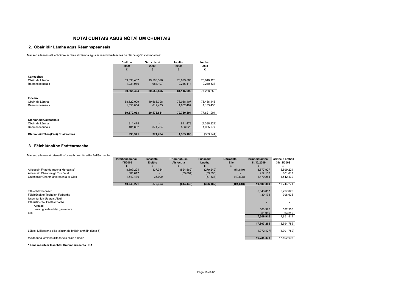#### **2. Obair idir Lámha agus Réamhspeansais**

Mar seo a leanas atá achoimre ar obair idir lámha agus ar réamhchaiteachas de réir catagóir shócmhainne:

|                                   | <b>Cistithe</b> | Gan chistiú | Iomlán     | Iomlán      |
|-----------------------------------|-----------------|-------------|------------|-------------|
|                                   | 2009            | 2009        | 2009       | 2008        |
|                                   | €               | €           | €          | €           |
| Caiteachas                        |                 |             |            |             |
| Obair idir Lámha                  | 59,333,487      | 19,566,398  | 78,899,885 | 75,048,126  |
| Réamhspeansais                    | 1,231,916       | 984.197     | 2,216,114  | 2,240,533   |
|                                   | 60,565,404      | 20,550,595  | 81,115,999 | 77,288,659  |
|                                   |                 |             |            |             |
| <b>loncam</b>                     |                 |             |            |             |
| Obair idir Lámha                  | 58,522,009      | 19,566,398  | 78,088,407 | 76,436,448  |
| Réamhspeansais                    | 1,050,054       | 612.433     | 1,662,487  | 1,185,456   |
|                                   | 59,572,063      | 20,178,831  | 79.750.894 | 77,621,904  |
|                                   |                 |             |            |             |
| Glanmhéid Caiteachais             |                 |             |            |             |
| Obair idir Lámha                  | 811,478         |             | 811,478    | (1,388,322) |
| Réamhspeansais                    | 181.862         | 371.764     | 553,626    | 1,055,077   |
| Glanmhéid Thar/(Faoi) Chaiteachas | 993,341         | 371,764     | 1,365,105  | (333, 244)  |

#### **3. Féichiúnaithe Fadtéarmacha**

Mar seo a leanas é briseadh síos na bhféichiúnaithe fadtéarmacha:

|                                                                                                                                                                                     | larmhéid amhail<br>1/1/2009 | lasachtaí<br><b>Eisithe</b> | Príomhshuim<br>Aisíoctha | Fuascailtí<br>Luatha | <b>Difríochtaí</b><br>Eile | larmhéid amhail<br>31/12/2009                                        | larmhéid amhail<br>31/12/2008                                        |
|-------------------------------------------------------------------------------------------------------------------------------------------------------------------------------------|-----------------------------|-----------------------------|--------------------------|----------------------|----------------------------|----------------------------------------------------------------------|----------------------------------------------------------------------|
| Airleacain Fhadtéarmacha Morgáiste*                                                                                                                                                 | 8,599,224                   | 837,354                     | (524, 562)               | (279, 249)           | (54, 840)                  | 8,577,927                                                            | 8,599,224                                                            |
| Airleacain Cheannaigh Tionóntaí                                                                                                                                                     | 601,617                     |                             | (89, 884)                | (59, 595)            |                            | 452,138                                                              | 601,617                                                              |
| Gnáthscair Chomhúinéireachta ar Cíos                                                                                                                                                | 1,542,430                   | 35,000                      |                          | (57, 338)            | (49, 808)                  | 1,470,284                                                            | 1,542,430                                                            |
|                                                                                                                                                                                     |                             |                             |                          |                      |                            |                                                                      |                                                                      |
|                                                                                                                                                                                     | 10,743,271                  | 872,354                     | (614, 446)               | (396, 182)           | (104, 648)                 | 10,500,349                                                           | 10,743,271                                                           |
| <b>Tithíocht Dheonach</b><br>Féichiúnaithe Tobhaigh Forbartha<br>lasachtaí Idir-Údaráis Áitiúil<br>Infheistíochtaí Fadtéarmacha<br>Airgead<br>Leas i gcuideachtaí gaolmhara<br>Eile |                             |                             |                          |                      |                            | 6,543,857<br>130,174<br>580,975<br>51,910<br>7,306,916<br>17,807,265 | 6,797,026<br>398,938<br>592,300<br>63,249<br>7,851,514<br>18,594,785 |
| Lúide: Méideanna dlite laistigh de bhliain amháin (Nóta 5)                                                                                                                          |                             |                             |                          |                      |                            | (1,072,427)                                                          | (1,091,789)                                                          |
| Méideanna iomlána dlite tar éis bliain amháin                                                                                                                                       |                             |                             |                          |                      |                            | 16,734,838                                                           | 17,502,996                                                           |

**\* Lena n-áirítear Iasachtaí Gníomhaireachta HFA**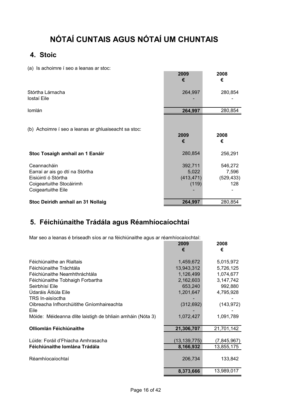## **4. Stoic**

(a) Is achoimre í seo a leanas ar stoc:

| $\frac{1}{2}$ is assistantly to see a fourth of stock                                                                   | 2009<br>€                               | 2008<br>€                             |
|-------------------------------------------------------------------------------------------------------------------------|-----------------------------------------|---------------------------------------|
| Stórtha Lárnacha<br>lostaí Eile                                                                                         | 264,997                                 | 280,854                               |
| Iomlán                                                                                                                  | 264,997                                 | 280,854                               |
| (b) Achoimre í seo a leanas ar ghluaiseacht sa stoc:                                                                    | 2009<br>€                               | 2008<br>€                             |
| Stoc Tosaigh amhail an 1 Eanáir                                                                                         | 280,854                                 | 256,291                               |
| Ceannacháin<br>Earraí ar ais go dtí na Stórtha<br>Eisiúintí ó Stórtha<br>Coigeartuithe Stocáirimh<br>Coigeartuithe Eile | 392,711<br>5,022<br>(413, 471)<br>(119) | 546,272<br>7,596<br>(529, 433)<br>128 |
| Stoc Deiridh amhail an 31 Nollaig                                                                                       | 264,997                                 | 280,854                               |

## **5. Féichiúnaithe Trádála agus Réamhíocaíochtaí**

Mar seo a leanas é briseadh síos ar na féichiúnaithe agus ar réamhíocaíochtaí:

|                                                            | 2009<br>€      | 2008<br>€     |
|------------------------------------------------------------|----------------|---------------|
| Féichiúnaithe an Rialtais                                  | 1,459,672      | 5,015,972     |
| Féichiúnaithe Tráchtála                                    | 13,943,312     | 5,726,125     |
| Féichiúnaithe Neamhthráchtála                              | 1,126,499      | 1,074,677     |
| Féichiúnaithe Tobhaigh Forbartha                           | 2,162,603      | 3,147,742     |
| Seirbhísí Eile                                             | 653,240        | 992,880       |
| Údaráis Áitiúla Eile                                       | 1,201,647      | 4,795,928     |
| TRS In-aisíoctha                                           |                |               |
| Oibreacha Infhorchúitithe Gníomhaireachta                  | (312, 692)     | (143, 972)    |
| Eile                                                       |                |               |
| Móide: Méideanna dlite laistigh de bhliain amháin (Nóta 3) | 1,072,427      | 1,091,789     |
|                                                            |                |               |
| <b>Olliomlán Féichiúnaithe</b>                             | 21,306,707     | 21,701,142    |
|                                                            |                |               |
| Lúide: Foráil d'Fhiacha Amhrasacha                         | (13, 139, 775) | (7, 845, 967) |
| Féichiúnaithe Iomlána Trádála                              | 8,166,932      | 13,855,175    |
|                                                            |                |               |
| Réamhíocaíochtaí                                           | 206,734        | 133,842       |
|                                                            |                |               |
|                                                            | 8,373,666      | 13,989,017    |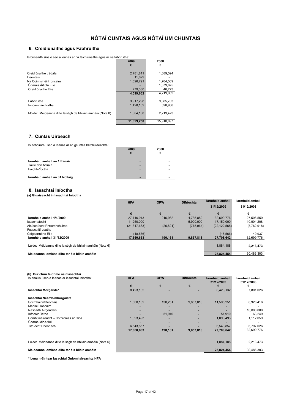#### **6. Creidiúnaithe agus Fabhruithe**

Is briseadh síos é seo a leanas ar na féichiúnaithe agus ar na fabhruithe:

| io bhocaan oloo o ooo a loanao ar na lolonialiamo agao ar na labin'amo. |            |            |
|-------------------------------------------------------------------------|------------|------------|
|                                                                         | 2009       | 2008       |
|                                                                         | €          | €          |
| Creidiúnaithe trádála                                                   | 2,781,811  | 1,389,524  |
| Deontais                                                                | 11.679     |            |
| Na Coimisinéirí Ioncaim                                                 | 1,026,791  | 1,704,509  |
| Údaráis Áitiúla Eile                                                    |            | 1,079,675  |
| Creidiúnaithe Eile                                                      | 779,380    | 46.273     |
|                                                                         | 4.599.662  | 4.219.982  |
|                                                                         |            |            |
| Fabhruithe                                                              | 3.917.298  | 9.085.703  |
| Ioncam Iarchurtha                                                       | 1.428.102  | 398.938    |
| Móide: Méideanna dlite laistigh de bhliain amháin (Nóta 8)              | 1,884,188  | 2,213,473  |
|                                                                         | 11,829,250 | 15.918.097 |

#### **7. Cuntas Uirbeach**

Is achoimre í seo a leanas ar an gcuntas Idirchuideachta:

| is actioning i sec a leanas at an gcunas iulicitudeachta.           | 2009<br>€ | 2008<br>€ |
|---------------------------------------------------------------------|-----------|-----------|
| Iarmhéid amhail an 1 Eanáir<br>Táille don bhliain<br>Faighte/loctha |           |           |
| Iarmhéid amhail an 31 Nollaig                                       |           |           |

#### **8. Iasachtaí Iníoctha**

**(a) Gluaiseacht in Iasachtaí Iníoctha**

|                                                            | <b>HFA</b>     | <b>OPW</b> | <b>Difríochtaí</b> | larmhéid amhail | larmhéid amhail |  |
|------------------------------------------------------------|----------------|------------|--------------------|-----------------|-----------------|--|
|                                                            |                |            |                    | 31/12/2009      | 31/12/2008      |  |
|                                                            | €              | €          |                    | €               | €               |  |
| Iarmhéid amhail 1/1/2009                                   | 27.746.913     | 216,982    | 4.735.882          | 32.699.776      | 27,508,550      |  |
| lasachtaíocht                                              | 11.250.000     |            | 5.900.000          | 17.150.000      | 10.904.208      |  |
| Aisíocaíocht Phríomhshuime                                 | (21, 317, 683) | (26, 821)  | (778,064)          | (22, 122, 568)  | (5,762,918)     |  |
| Fuascailtí Luatha                                          |                |            |                    |                 |                 |  |
| Coigeartuithe Eile                                         | (18.566)       |            |                    | (18.566)        | 49.937          |  |
| larmhéid amhail 31/12/2009                                 | 17.660.663     | 190,161    | 9,857,818          | 27.708.642      | 32,699,776      |  |
| Lúide: Méideanna dlite laistigh de bhliain amháin (Nóta 6) |                |            |                    | 1.884.188       | 2,213,473       |  |
| Méideanna iomlána dlite tar éis bliain amháin              |                |            |                    | 25.824.454      | 30.486.303      |  |

|  |  |  | (b) Cur chun feidhme na nIasachtaí |  |
|--|--|--|------------------------------------|--|
|--|--|--|------------------------------------|--|

| Is anailís í seo a leanas ar iasachtaí iníoctha:           | <b>HFA</b> | <b>OPW</b> | <b>Difríochtaí</b> | larmhéid amhail<br>31/12/2009 | larmhéid amhail<br>31/12/2008 |
|------------------------------------------------------------|------------|------------|--------------------|-------------------------------|-------------------------------|
|                                                            | €          | €          | €                  |                               |                               |
| lasachtaí Morgáiste*                                       | 8,423,132  |            |                    | 8,423,132                     | 7,801,026                     |
| lasachtaí Neamh-mhorgáiste                                 |            |            |                    |                               |                               |
| Sócmhainn/Deontais                                         | 1,600,182  | 138,251    | 9,857,818          | 11,596,251                    | 6,926,416                     |
| Maoiniú Ioncaim                                            |            |            |                    |                               |                               |
| Nascadh Airgeadais                                         |            |            |                    |                               | 10,000,000                    |
| Infhorchúitithe                                            |            | 51,910     |                    | 51.910                        | 63,249                        |
| Comhúinéireacht - Cothromas ar Cíos                        | 1,093,493  |            |                    | 1,093,493                     | 1,112,059                     |
| Údarás Idir-áitiúil                                        |            |            |                    |                               |                               |
| Tithíocht Dheonach                                         | 6.543.857  |            |                    | 6.543.857                     | 6,797,026                     |
|                                                            | 17,660,663 | 190,161    | 9,857,818          | 27,708,642                    | 32,699,776                    |
|                                                            |            |            |                    |                               |                               |
| Lúide: Méideanna dlite laistigh de bhliain amháin (Nóta 6) |            |            |                    | 1,884,188                     | 2.213.473                     |
| Méideanna iomlána dlite tar éis bliain amháin              |            |            |                    | 25,824,454                    | 30,486,303                    |

**\* Lena n-áirítear Iasachtaí Gníomhaireachta HFA**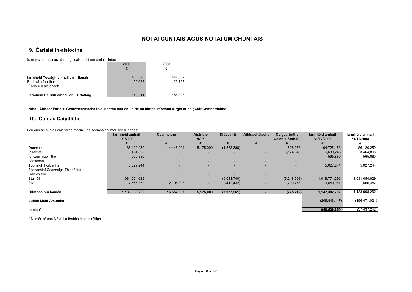### **9. Éarlaisí In-aisíoctha**

Is mar seo a leanas atá an ghluaiseacht um éarlaisí iníoctha:

|                                                                                    | 2009<br>€              | 2008<br>€         |
|------------------------------------------------------------------------------------|------------------------|-------------------|
| Iarmhéid Tosaigh amhail an 1 Eanáir<br>Éarlaisí a fuarthas<br>Éarlaisí a aisíocadh | 468,328<br>50,683<br>- | 444,562<br>23.767 |
| larmhéid Deiridh amhail an 31 Nollaig                                              | 519.011                | 468.328           |

**Nóta: Áirítear Éarlaisí Gearrthéarmacha In-aisíoctha mar chuid de na hInfheistíochtaí Airgid ar an gClár Comhardaithe**

#### **10. Cuntas Caipitlithe**

Léiríonn an cuntas caipitilithe maoiniú na sócmhainní mar seo a leanas:

|                                  | larmhéid amhail<br>1/1/2009 | <b>Ceannaithe</b>        | <b>Aistrithe</b><br><b>WIP</b> | <b>Diúscairtí</b> | Athluachálacha | Coigeartuithe<br><b>Costais Stairiúil</b> | larmhéid amhail<br>31/12/2009 | larmhéid amhail<br>31/12/2008 |
|----------------------------------|-----------------------------|--------------------------|--------------------------------|-------------------|----------------|-------------------------------------------|-------------------------------|-------------------------------|
|                                  |                             |                          |                                |                   |                |                                           |                               |                               |
| Deontais                         | 86,129,259                  | 14,446,004               | 5,175,000                      | (1,533,388)       |                | 508,278                                   | 104,725,153                   | 86,129,259                    |
| lasachtaí                        | 3,464,898                   | $\overline{\phantom{a}}$ | $\overline{\phantom{0}}$       |                   | ۰              | 3,174,345                                 | 6,639,243                     | 3,464,898                     |
| Ioncam maoinithe                 | 565,880                     | $\overline{\phantom{a}}$ | $\overline{\phantom{a}}$       | -                 |                |                                           | 565,880                       | 565,880                       |
| Léasanna                         |                             | $\overline{\phantom{a}}$ | $\sim$                         | -                 |                | $\overline{\phantom{a}}$                  |                               |                               |
| Tobhaigh Forbartha               | 5,027,244                   | $\overline{\phantom{a}}$ | <b>COL</b>                     |                   |                | <b>COL</b>                                | 5,027,244                     | 5,027,244                     |
| Blianachtaí Ceannaigh Thionóntaí |                             |                          |                                | -                 |                |                                           |                               |                               |
| Gan chistiú                      |                             |                          |                                |                   |                |                                           |                               |                               |
| Stairiúil                        | 1,031,054,629               |                          | $\overline{\phantom{a}}$       | (6,031,740)       |                | (5,248,593)                               | 1,019,774,296                 | 1,031,054,629                 |
| Eile                             | 7,666,352                   | 2,106,303                | $\overline{\phantom{0}}$       | (412, 432)        |                | 1,290,758                                 | 10,650,981                    | 7,666,352                     |
| Ollmhaoiniú Iomlán               | 1,133,908,262               | 16,552,307               | 5,175,000                      | (7, 977, 561)     |                | (275, 212)                                | 1,147,382,797                 | 1,133,908,262                 |
| Lúide: Méid Amúctha              |                             |                          |                                |                   |                |                                           | (206, 846, 147)               | (196, 471, 021)               |
| lomlán*                          |                             |                          |                                |                   |                |                                           | 940,536,650                   | 937,437,242                   |

\* Ní mór dó seo Nóta 1 a thabhairt chun réitigh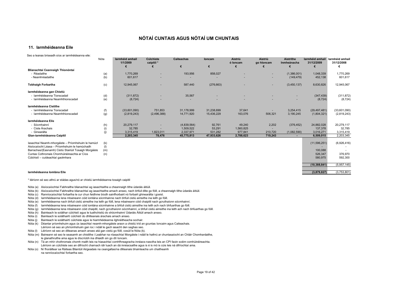#### **11. Iarmhéideanna Eile**

| Seo a leanas briseadh síos ar iarmhéideanna eile:      |            |                             |                                |                        |             |                     |                          |                                 |                               |                                    |
|--------------------------------------------------------|------------|-----------------------------|--------------------------------|------------------------|-------------|---------------------|--------------------------|---------------------------------|-------------------------------|------------------------------------|
|                                                        | Nóta       | larmhéid amhail<br>1/1/2009 | <b>Cúlchiste</b><br>caipitil * | <b>Caiteachas</b><br>€ | loncam<br>€ | Aistriú<br>ó loncam | Aistriú<br>go hloncam    | <b>Aistrithe</b><br>Inmheánacha | larmhéid amhail<br>31/12/2009 | larmhéid amhail<br>31/12/2008<br>€ |
| Blianachtaí Ceannaigh Thionóntaí                       |            |                             |                                |                        |             |                     |                          |                                 |                               |                                    |
| - Réadaithe<br>- Neamhréadaithe                        | (a)<br>(b) | 1,770,269<br>601,617        |                                | 193,956                | 858,027     |                     | $\sim$                   | (1,386,001)<br>(149, 479)       | 1,048,339<br>452,138          | 1,770,269<br>601,617               |
| <b>Tobhaigh Forbartha</b>                              | (c)        | 12,945,067                  |                                | 587,440                | (276, 663)  |                     | $\overline{\phantom{a}}$ | (3,450,137)                     | 8,630,826                     | 12,945,067                         |
| larmhéideanna gan Chistiú                              |            |                             |                                |                        |             |                     |                          |                                 |                               |                                    |
| - Iarmhéideanna Tionscadail                            | (d)        | (311, 872)                  | $\overline{\phantom{a}}$       | 35,567                 |             |                     |                          |                                 | (347, 439)                    | (311, 872)                         |
| - Iarmhéideanna Neamhthionscadail                      | (e)        | (8, 724)                    |                                |                        |             |                     |                          |                                 | (8, 724)                      | (8, 724)                           |
| Iarmhéideanna Cistithe                                 |            |                             |                                |                        |             |                     |                          |                                 |                               |                                    |
| - Iarmhéideanna Tionscadail                            | (f)        | (33,601,090)                | 751.853                        | 31,178,999             | 31,238,699  | 37,641              |                          | 3,254,415                       | (29, 497, 481)                | (33,601,090)                       |
| - Iarmhéideanna Neamhthionscadail                      | (g)        | (2,819,243)                 | (2,496,388)                    | 14,771,920             | 15,436,229  | 163,076             | 506,321                  | 3,190,245                       | (1,804,321)                   | (2,819,243)                        |
| Iarmhéideanna Eile                                     |            |                             |                                |                        |             |                     |                          |                                 |                               |                                    |
| - Sócmhainní                                           | (h)        | 20,279,117                  |                                | (4,839,564)            | 92,761      | 49,240              | 2,202                    | (376, 452)                      | 24,882,028                    | 20,279,117                         |
| - Ciste Árachais                                       | (i)        | 32,785                      |                                | 1,509,522              | 53,291      | 1,560,825           |                          |                                 | 137,378                       | 32,785                             |
| - Ginearálta                                           | (i)        | 3.315.419                   | 1,823,011                      | 2.337.971              | 531,282     | 977.841             | 210,720                  | (1,082,590)                     | 3,016,271                     | 3,315,419                          |
| Glan-iarmhéideanna Caipitil                            |            | 2,203,345                   | 78,476                         | 45,775,813             | 47,933,626  | 2,788,623           | 719,243                  |                                 | 6,509,015                     | 2,203,345                          |
| Iasachtaí Neamh-mhorgáiste - Príomhshuim le hamúch     | (k)        |                             |                                |                        |             |                     |                          |                                 | (11, 596, 251)                | (6,926,416)                        |
| Aisíocaíocht Léasa - Príomhshuim le hamúchadh          | (1)        |                             |                                |                        |             |                     |                          |                                 |                               |                                    |
| Barrachas/(Easnamh) Cistiú Stairiúil Tosaigh Morgáiste | (m)        |                             |                                |                        |             |                     |                          |                                 | 100,088                       |                                    |
| Cuntas Cothromais Chomhúinéireachta ar Cíos            | (n)        |                             |                                |                        |             |                     |                          |                                 | 526,347                       | 376,970                            |
| Cúlchistí - cuideachtaí gaolmhara                      |            |                             |                                |                        |             |                     |                          |                                 | 580,975                       | 592,300                            |
|                                                        |            |                             |                                |                        |             |                     |                          |                                 | (10, 388, 841)                | (5,957,145)                        |
|                                                        |            |                             |                                |                        |             |                     |                          |                                 |                               |                                    |

#### **Iarmhéideanna Iomlána Eile (3,879,827)** (3,753,801)

\* léiríonn sé seo athrú ar stádas agus/nó ar chistiú iarmhéideanna tosaigh caipitil

- Nóta (a) Aisíocaíochtaí Fabhraithe blianachtaí ag iasachtaithe a cheannaigh tithe údaráis áitiúil.
- Nóta (b) Aisíocaíochtaí Fabhraithe blianachtaí ag iasachtaithe amach anseo, nach bhfuil dlite go fóill, a cheannaigh tithe údaráis áitiúil.
- Nóta (c) Ranníocaíochtaí forbartha le cur chun feidhme bíodh sainfhorbairt nó forbairt ghinearálta i gceist.
- Nóta (d) Iarmhéideanna lena mbaineann cóid iomlána sócmhainne nach bhfuil cistiú aimsithe ina leith go fóill.
- Nóta (e) Iarmhéideanna nach bhfuil cistiú aimsithe ina leith go fóill, lena mbaineann cóid chaipitil nach gcruthaíonn sócmhainní.
- Nóta (f) Iarmhéideanna lena mbaineann cóid iomlána sócmhainne a bhfuil cistiú aimsithe ina leith ach nach bhfuarthas go fóill.
- Nóta (g) Iarmhéideanna lena mbaineann cóid chaipitil, nach gcruthaíonn sócmhainní, a bhfuil cistiú aimsithe ina leith ach nach bhfuarthas go fóill.
- Nóta (h) Bainteach le soláthar cúlchistí agus le luathchistiú do shócmhainní Údaráis Áitiúil amach anseo.
- Nóta (i) Bainteach le soláthairtí cúlchistí do dhliteanais árachais amach anseo.
- Nóta (j) Bainteach le soláthairtí cúlchiste agus le hiarmhéideanna ilghnéitheacha sochair.
- Nóta (k) Déantar príomhshuim agus ús iasachtaí neamh-mhorgáiste araon a chistiú tríd an gcuntas Ioncaim agus Caiteachais. Léiríonn sé seo an phríomhshuim gan íoc i ndáil le gach iasacht den saghas seo.
- Nóta (l) Léiríonn sé seo an dliteanas amach anseo atá gan cistiú go fóill, cosúil le Nóta (k).
- Nóta (m) Baineann sé seo le seasamh an chistithe i Leabhar na nIasachtaí Morgáiste i ndáil le hathrú ar chuntasaíocht an Chláir Chomhardaithe, le glanathruithe ama agus le díscríobh ina dhiaidh sin go dtí Ioncam.
- Nóta (n) Tá an mhír chothromais chomh maith leis na hiasachtaí comhfhreagracha innéacs-nasctha leis an CPI faoin scéim comhúinéireachta. Léiríonn an cúlchiste seo an difríocht charnach idir luach an dá innéacsaithe agus is é is mó is cúis leis ná difríochtaí ama.
- Nóta (o) Ní fhoráiltear sa Ráiteas Bliantúil Airgeadais na ceangaltas/na dliteanais bhainteacha um chaitheamh na ranníocaíochtaí forbartha seo.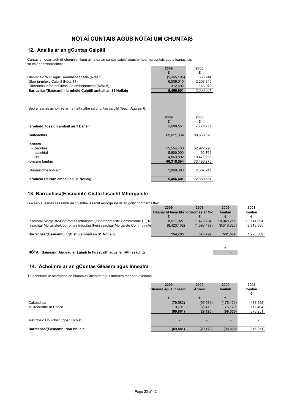#### **12. Anailís ar an gCuntas Caipitil**

Cuntas a ndearnadh dí-chomhiomlánú air is ea an cuntas caipitil agus áirítear na cuntais seo a leanas leis sa chlár comhardaithe:

|                                                            | 2009        | 2008      |
|------------------------------------------------------------|-------------|-----------|
|                                                            |             |           |
| Glanmhéid WIP agus Réamhspeansais (Nóta 2)                 | (1,365,105) | 333.244   |
| Glan-iarmhéid Caipitil (Nóta 11)                           | 6.509.015   | 2.203.345 |
| Oibreacha Infhorchúitithe Gníomhaireachta (Nóta 5)         | 312.692     | 143.972   |
| Barrachas/(Easnamh) larmhéid Caipitil amhail an 31 Nollaig | 5.456.601   | 2,680,561 |
|                                                            |             |           |

Seo a leanas achoimre ar na hathruithe sa chuntas caipitil (féach Aguisín 6):

|                                       | 2009<br>€  | 2008<br>€  |
|---------------------------------------|------------|------------|
| Iarmhéid Tosaigh amhail an 1 Eanáir   | 2,680,561  | 7,776,717  |
| Caiteachas                            | 65,611,934 | 80,669,678 |
| loncam                                |            |            |
| - Deontais                            | 55,554,703 | 62,922,220 |
| - lasachtaí                           | 5,900,000  | 92.761     |
| - Eile                                | 4.863.892  | 10,471,295 |
| Ioncam Iomlán                         | 66.318.594 | 73,486,275 |
| Glanaistrithe Ioncaim                 | 2,069,380  | 2,087,247  |
| Iarmhéid Deiridh amhail an 31 Nollaig | 5.456.601  | 2.680.561  |

#### **13. Barrachas/(Easnamh) Cistiú Iasacht Mhorgáiste**

Is é seo a leanas seasamh an chistithe iasacht mhorgáiste ar an gclár comhardaithe:

| 2009      | 2009                                                                                                                                                       | 2009                                                       | 2008        |
|-----------|------------------------------------------------------------------------------------------------------------------------------------------------------------|------------------------------------------------------------|-------------|
|           |                                                                                                                                                            | <b>Iomlán</b>                                              | Iomlán      |
|           |                                                                                                                                                            |                                                            |             |
| 8.577.927 | 1.470.284                                                                                                                                                  | 10.048.211                                                 | 10.141.654  |
|           | (1.093.493)                                                                                                                                                |                                                            | (8,913,085) |
|           |                                                                                                                                                            |                                                            |             |
| 154.795   | 376.792                                                                                                                                                    | 531.587                                                    | 1.228.569   |
|           | lasachtaí Morgáiste/Cothromas Infhaighte (Féinmhorgáiste Comhroinnte LT, No<br>lasachtaí Morgáiste/Cothromas Iníoctha (Féiniasachtaí Morgáiste Comhroinnte | <b>Blianacht lasachta : othromas ar Cio</b><br>(8.423.132) | (9.516.625) |

**€**

**NÓTA: Baineann Airgead ar Láimh le Fuascailtí agus le hAthiasachtú** -

#### **14. Achoimre ar an gCuntas Gléasra agus Innealra**

Tá achoimre ar oibreacha an chuntais Ghléasra agus Innealra mar seo a leanas:

|                                       | 2009<br>Gléasra agus Inneair | 2009<br><b>Abhair</b> | 2009<br><b>lomlán</b> | 2008<br>Iomlán<br>€ |
|---------------------------------------|------------------------------|-----------------------|-----------------------|---------------------|
|                                       |                              |                       | €                     |                     |
| Caiteachas                            | (79, 582)                    | (95, 539)             | (175, 121)            | (488, 655)          |
| Muirearaithe ar Phoist                | 9.701                        | 66.419                | 76,120                | 112,404             |
|                                       | (69, 881)                    | (29, 120)             | (99,000)              | (376, 251)          |
| Aistrithe ó Chúlchistí/(go) Cúlchistí | -                            |                       |                       |                     |
| Barrachas/(Easnamh) don bhliain       | (69, 881)                    | (29, 120)             | (99,000)              | (376, 251)          |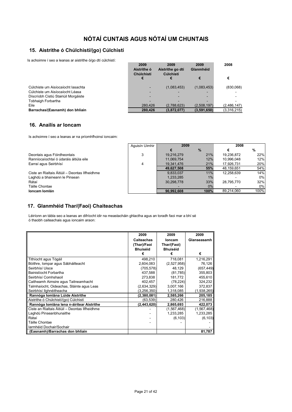#### **15. Aistrithe ó Chúlchistí/(go) Cúlchistí**

Is achoimre í seo a leanas ar aistrithe ó/go dtí cúlchistí:

|                                      | 2009<br>Aistrithe ó<br><b>Chúlchistí</b> | 2009<br>Aistrithe go dtí<br>Cúlchistí | 2009<br>Glanmhéid | 2008        |
|--------------------------------------|------------------------------------------|---------------------------------------|-------------------|-------------|
|                                      |                                          |                                       | €                 | €           |
| Cúlchiste um Aisíocaíocht Iasachta   |                                          | (1,083,453)                           | (1,083,453)       | (830,068)   |
| Cúlchiste um Aisíocaíocht Léasa      |                                          |                                       |                   |             |
| Díscríobh Cistiú Stairiúil Morgáiste |                                          |                                       |                   |             |
| <b>Tobhaigh Forbartha</b>            |                                          |                                       |                   |             |
| Eile                                 | 280.426                                  | (2,788,623)                           | (2.508.197)       | (2,486,147) |
| Barrachas/(Easnamh) don bhliain      | 280.426                                  | (3,872,077)                           | (3,591,650)       | (3,316,215) |

#### **16. Anailís ar Ioncam**

Is achoimre í seo a leanas ar na príomhfhoinsí ioncaim:

|                                                | Aquisín Uimhir | 2009       |       | 2008       |      |
|------------------------------------------------|----------------|------------|-------|------------|------|
|                                                |                |            | $\%$  |            | %    |
| Deontais agus Fóirdheontais                    | 3              | 19,216,279 | 21%   | 19,236,872 | 22%  |
| Ranníocaíochtaí ó údaráis áitiúla eile         |                | 11,069,754 | 12%   | 10.996.048 | 12%  |
| Earraí agus Seirbhísí                          | 4              | 19,341,476 | 21%   | 17,926,731 | 20%  |
|                                                |                | 49.627.508 | 55%   | 48.159.651 | 54%  |
| Ciste an Rialtais Áitiúil - Deontas Ilfheidhme |                | 9,833,037  | 11%   | 12,258,639 | 14%  |
| Laghdú a bhaineann le Pinsean                  |                | 1.233.285  | $1\%$ |            | 0%   |
| Rátaí                                          |                | 30.298.778 | 33%   | 28.795.770 | 32%  |
| Táille Chontae                                 |                |            | $0\%$ |            | 0%   |
| Ioncam Iomlán                                  |                | 90.992.608 | 100%  | 89.214.060 | 100% |

#### **17. Glanmhéid Thar/(Faoi) Chaiteachas**

Léiríonn an tábla seo a leanas an difríocht idir na meastacháin ghlactha agus an toradh faoi mar a bhí sé ó thaobh caiteachais agus ioncaim araon:

|                                                | 2009              | 2009            | 2009          |
|------------------------------------------------|-------------------|-----------------|---------------|
|                                                | <b>Caiteachas</b> | <b>Ioncam</b>   | Glanseasamh   |
|                                                | (Thar)/Faoi       | Thar/(Faoi)     |               |
|                                                | <b>Bhuiséid</b>   | <b>Bhuiséid</b> |               |
|                                                | €                 | €               | €             |
| Tithíocht agus Tógáil                          | 498,210           | 718,081         | 1,216,291     |
| Bóithre, Iompar agus Sábháilteacht             | 2,604,083         | (2,527,958)     | 76,126        |
| Seirbhísí Uisce                                | (705, 578)        | 48,129          | (657, 449)    |
| Bainistíocht Forbartha                         | 437,588           | (81,785)        | 355,803       |
| Seirbhísí Comhshaoil                           | 273,838           | 181,772         | 455,610       |
| Caitheamh Aimsire agus Taitneamhacht           | 402,457           | (78, 224)       | 324,232       |
| Talmhaíocht, Oideachas, Sláinte agus Leas      | (2,634,329)       | 3,007,166       | 372,837       |
| Seirbhísí Ilghnéitheacha                       | (3, 256, 350)     | 1,318,085       | (1,938,265)   |
| Rannóga Iomlána Lúide Aistrithe                | (2,380,081)       | 2,585,266       | 205,185       |
| Aistrithe ó Chúlchistí/(go) Cúlchistí          | (63, 539)         | 280,426         | 216,888       |
| Rannóga Iomlána lena n-áirítear Aistrithe      | (2,443,620)       | 2,865,693       | 422,073       |
| Ciste an Rialtais Áitiúil – Deontas Ilfheidhme |                   | (1,567,468)     | (1, 567, 468) |
| Laghdú Pinseanbhunaithe                        |                   | 1,233,285       | 1,233,285     |
| Rátaí                                          |                   | (6, 103)        | (6, 103)      |
| Táille Chontae                                 |                   |                 |               |
| Iarmhéid Dochair/Sochair                       |                   |                 |               |
| (Easnamh)/Barrachas don bhliain                |                   |                 | 81,787        |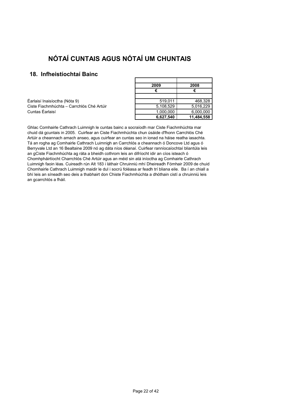### **18. Infheistíochtaí Bainc**

| Éarlaisí Inaisíoctha (Nóta 9)             | 519.011   | 468.328   |
|-------------------------------------------|-----------|-----------|
| Ciste Fiachmhúchta – Carrchlós Ché Artúir | 5.108.529 | 5.016.229 |
| Cuntas Éarlaisí                           | 1.000.000 | 6,000,000 |

| 2009      | 2008       |
|-----------|------------|
| F         |            |
|           |            |
| 519,011   | 468,328    |
| 5,108,529 | 5.016,229  |
| 1,000,000 | 6,000,000  |
| 6,627,540 | 11,484,558 |

Ghlac Comhairle Cathrach Luimnigh le cuntas bainc a socraíodh mar Ciste Fiachmhúchta mar chuid dá gcuntais in 2005. Cuirfear an Ciste Fiachmhúchta chun úsáide d'fhonn Carrchlós Ché Artúir a cheannach amach anseo, agus cuirfear an cuntas seo in ionad na háise reatha iasachta. Tá an rogha ag Comhairle Cathrach Luimnigh an Carrchlós a cheannach ó Doncove Ltd agus ó Berryvale Ltd an 16 Bealtaine 2009 nó ag dáta níos déanaí. Cuirfear ranníocaíochtaí bliantúla leis an gCiste Fiachmhúchta ag ráta a bheidh cothrom leis an difríocht idir an cíos isteach ó Chomhpháirtíocht Charrchlós Ché Artúir agus an méid sin atá iníoctha ag Comhairle Cathrach Luimnigh faoin léas. Cuireadh rún Alt 183 i láthair Chruinniú mhí Dheireadh Fómhair 2009 de chuid Chomhairle Cathrach Luimnigh maidir le dul i socrú foléasa ar feadh trí bliana eile. Ba í an chiall a bhí leis an síneadh seo deis a thabhairt don Chiste Fiachmhúchta a dhóthain cistí a chruinniú leis an gcarrchlós a fháil.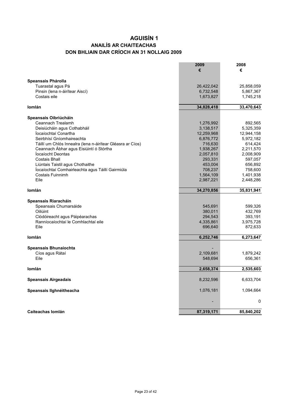### **ANAILÍS AR CHAITEACHAS DON BHLIAIN DAR CRÍOCH AN 31 NOLLAIG 2009 AGUISÍN 1**

|                                                            | 2009<br>€  | 2008<br>€  |
|------------------------------------------------------------|------------|------------|
|                                                            |            |            |
| Speansais Phárolla                                         |            |            |
| Tuarastal agus Pá                                          | 26,422,042 | 25,858,059 |
| Pinsin (lena n-áirítear Aiscí)                             | 6,732,548  | 5,867,367  |
| Costais eile                                               | 1,673,827  | 1,745,218  |
| lomlán                                                     | 34,828,418 | 33,470,643 |
| Speansais Oibriúcháin                                      |            |            |
| Ceannach Trealamh                                          | 1,276,992  | 892,565    |
| Deisiúcháin agus Cothabháil                                | 3,138,517  | 5,325,359  |
| locaíochtaí Conartha                                       | 12,259,968 | 12,944,158 |
| Seirbhísí Gníomhaireachta                                  | 6,876,772  | 5,972,182  |
| Táillí um Chlós Innealra (lena n-áirítear Gléasra ar Cíos) | 716,630    | 614,424    |
| Ceannach Ábhar agus Eisiúintí ó Stórtha                    | 1,938,267  | 2,211,570  |
| locaíocht Deontas                                          | 2,057,810  | 2,008,909  |
| <b>Costais Bhall</b>                                       | 293,331    | 597,057    |
| Liúntais Taistil agus Chothaithe                           | 453,004    | 656,892    |
| Íocaíochtaí Comhairleachta agus Táillí Gairmiúla           | 708,237    | 758,600    |
| Costais Fuinnimh                                           | 1,564,109  | 1,401,938  |
| File                                                       | 2,987,221  | 2,448,286  |
| lomlán                                                     | 34,270,856 | 35,831,941 |
|                                                            |            |            |
| Speansais Riaracháin                                       |            |            |
| Speansais Chumarsáide                                      | 545,691    | 599,326    |
| Oiliúint                                                   | 380,011    | 432,769    |
| Clódóireacht agus Páipéarachas                             | 294,543    | 393,191    |
| Ranníocaíochtaí le Comhlachtaí eile                        | 4,335,861  | 3,975,728  |
| Eile                                                       | 696,640    | 872,633    |
| <b>lomlán</b>                                              | 6,252,746  | 6,273,647  |
| Speansais Bhunaíochta                                      |            |            |
| Cíos agus Rátaí                                            | 2,109,681  | 1,879,242  |
| Eile                                                       | 548,694    | 656,361    |
|                                                            |            |            |
| Iomlán                                                     | 2,658,374  | 2,535,603  |
| <b>Speansais Airgeadais</b>                                | 8,232,596  | 6,633,704  |
| Speansais Ilghnéitheacha                                   | 1,076,181  | 1,094,664  |
|                                                            |            | 0          |
| Caiteachas Iomlán                                          | 87,319,171 | 85,840,202 |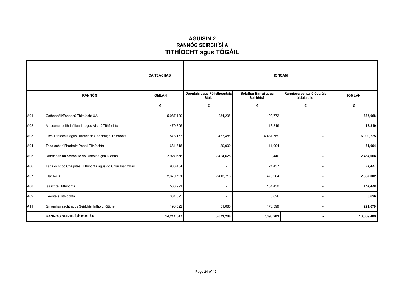### **AGUISÍN 2 RANNÓG SEIRBHÍSÍ A TITHÍOCHT agus TÓGÁIL**

|     |                                                            | <b>CAITEACHAS</b> | <b>IONCAM</b>                        |                                   |                                           |               |
|-----|------------------------------------------------------------|-------------------|--------------------------------------|-----------------------------------|-------------------------------------------|---------------|
|     | <b>RANNÓG</b>                                              | <b>IOMLÁN</b>     | Deontais agus Fóirdheontais<br>Stáit | Soláthar Earraí agus<br>Seirbhísí | Ranníocaíochtaí ó údaráis<br>áitiúla eile | <b>IOMLÁN</b> |
|     |                                                            | €                 | €                                    | €                                 | €                                         | €             |
| A01 | Cothabháil/Feabhsú Thithíocht ÚÁ                           | 5,087,429         | 284,296                              | 100,772                           | $\overline{\phantom{a}}$                  | 385,068       |
| A02 | Measúnú, Leithdháileadh agus Aistriú Tithíochta            | 479,306           | $\overline{\phantom{a}}$             | 18,819                            | $\sim$                                    | 18,819        |
| A03 | Cíos Tithíochta agus Riarachán Ceannaigh Thionóntaí        | 578,157           | 477,486                              | 6,431,789                         | $\overline{\phantom{a}}$                  | 6,909,275     |
| A04 | Tacaíocht d'Fhorbairt Pobail Tithíochta                    | 681,316           | 20,000                               | 11,004                            | $\overline{\phantom{a}}$                  | 31,004        |
| A05 | Riarachán na Seirbhíse do Dhaoine gan Dídean               | 2,927,656         | 2,424,628                            | 9,440                             | $\overline{\phantom{a}}$                  | 2,434,068     |
| A06 | Tacaíocht do Chaipiteal Tithíochta agus do Chlár Inacmhair | 983,454           | $\overline{\phantom{a}}$             | 24,437                            | $\overline{\phantom{a}}$                  | 24,437        |
| A07 | Clár RAS                                                   | 2,379,721         | 2,413,718                            | 473,284                           | $\overline{\phantom{a}}$                  | 2,887,002     |
| A08 | lasachtaí Tithíochta                                       | 563,991           | $\overline{\phantom{a}}$             | 154,430                           | $\overline{\phantom{a}}$                  | 154,430       |
| A09 | Deontais Tithíochta                                        | 331,695           | $\overline{\phantom{a}}$             | 3,626                             | $\overline{\phantom{a}}$                  | 3,626         |
| A11 | Gníomhaireacht agus Seirbhísí Infhorchúitithe              | 198,822           | 51,080                               | 170,599                           | $\sim$                                    | 221,679       |
|     | RANNÓG SEIRBHÍSÍ: IOMLÁN                                   | 14,211,547        | 5,671,208                            | 7,398,201                         |                                           | 13,069,409    |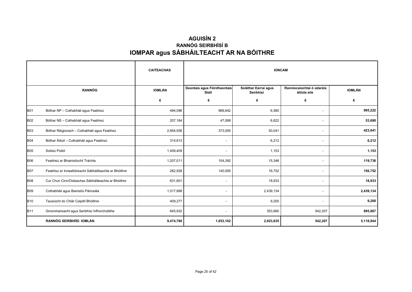## **AGUISÍN 2 IOMPAR agus SÁBHÁILTEACHT AR NA BÓITHRE RANNÓG SEIRBHÍSÍ B**

|            |                                                       | <b>CAITEACHAS</b> | <b>IONCAM</b>                        |                                   |                                           |               |
|------------|-------------------------------------------------------|-------------------|--------------------------------------|-----------------------------------|-------------------------------------------|---------------|
|            | <b>RANNÓG</b>                                         | <b>IOMLÁN</b>     | Deontais agus Fóirdheontais<br>Stáit | Soláthar Earraí agus<br>Seirbhísí | Ranníocaíochtaí ó údaráis<br>áitiúla eile | <b>IOMLÁN</b> |
|            |                                                       | €                 | €                                    | €                                 | €                                         | €             |
| <b>B01</b> | Bóthar NP - Cothabháil agus Feabhsú                   | 494,096           | 988,642                              | 6,580                             | $\overline{\phantom{a}}$                  | 995,222       |
| <b>B02</b> | Bóthar NS - Cothabháil agus Feabhsú                   | 207,164           | 47,068                               | 6,622                             |                                           | 53,690        |
| <b>B03</b> | Bóthar Réigiúnach - Cothabháil agus Feabhsú           | 2,854,556         | 373,000                              | 50,041                            |                                           | 423,041       |
| <b>B04</b> | Bóthar Áitiúil - Cothabháil agus Feabhsú              | 314,813           | $\overline{\phantom{a}}$             | 6,212                             | $\overline{\phantom{a}}$                  | 6,212         |
| <b>B05</b> | Soilsiú Poiblí                                        | 1,409,409         | $\sim$                               | 1,153                             | $\overline{\phantom{a}}$                  | 1,153         |
| <b>B06</b> | Feabhsú ar Bhainistíocht Tráchta                      | 1,207,011         | 104,392                              | 15,346                            |                                           | 119,738       |
| <b>B07</b> | Feabhsú ar Innealtóireacht Sábháilteachta ar Bhóithre | 282,928           | 140,000                              | 16,752                            | $\overline{\phantom{a}}$                  | 156,752       |
| <b>B08</b> | Cur Chun Cinn/Oideachas Sábháilteachta ar Bhóithre    | 631,601           | $\overline{\phantom{a}}$             | 18,933                            | $\overline{\phantom{a}}$                  | 18,933        |
| <b>B09</b> | Cothabháil agus Bainistiú Páirceála                   | 1,017,998         | $\overline{\phantom{a}}$             | 2,439,134                         |                                           | 2,439,134     |
| <b>B10</b> | Tacaíocht do Chlár Caipitil Bhóithre                  | 409,277           | $\overline{\phantom{a}}$             | 9,200                             |                                           | 9,200         |
| <b>B11</b> | Gníomhaireacht agus Seirbhísí Infhorchúitithe         | 645,932           | $\overline{\phantom{a}}$             | 353,660                           | 542,207                                   | 895,867       |
|            | RANNÓG SEIRBHÍSÍ: IOMLÁN                              | 9,474,786         | 1,653,102                            | 2,923,635                         | 542,207                                   | 5,118,944     |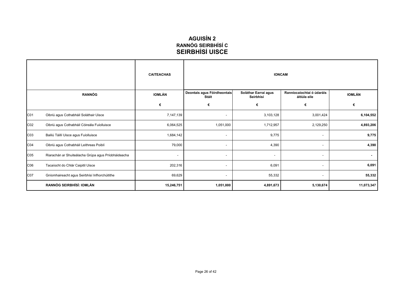### **AGUISÍN 2 SEIRBHÍSÍ UISCE RANNÓG SEIRBHÍSÍ C**

|                 |                                                     | <b>CAITEACHAS</b> | <b>IONCAM</b>                        |                                   |                                           |               |
|-----------------|-----------------------------------------------------|-------------------|--------------------------------------|-----------------------------------|-------------------------------------------|---------------|
|                 | <b>RANNÓG</b>                                       | IOMLÁN            | Deontais agus Fóirdheontais<br>Stáit | Soláthar Earraí agus<br>Seirbhísí | Ranníocaíochtaí ó údaráis<br>áitiúla eile | <b>IOMLÁN</b> |
|                 |                                                     | €                 | €                                    | €                                 | €                                         | €             |
| C01             | Oibriú agus Cothabháil Soláthair Uisce              | 7,147,139         | $\overline{\phantom{a}}$             | 3,103,128                         | 3,001,424                                 | 6,104,552     |
| CO <sub>2</sub> | Oibriú agus Cothabháil Cóireála Fuíolluisce         | 6,064,525         | 1,051,000                            | 1,712,957                         | 2,129,250                                 | 4,893,206     |
| C03             | Bailiú Táillí Uisce agus Fuíolluisce                | 1,684,142         | $\overline{\phantom{a}}$             | 9,775                             | $\overline{\phantom{a}}$                  | 9,775         |
| C04             | Oibriú agus Cothabháil Leithreas Poiblí             | 79,000            | $\overline{\phantom{a}}$             | 4,390                             | $\overline{\phantom{a}}$                  | 4,390         |
| C <sub>05</sub> | Riarachán ar Shuiteálacha Grúpa agus Príobháideacha | $\sim$            | $\overline{\phantom{a}}$             | $\overline{\phantom{a}}$          | $\overline{\phantom{a}}$                  | ٠             |
| C06             | Tacaíocht do Chlár Caipitil Uisce                   | 202,316           | $\overline{\phantom{a}}$             | 6,091                             | $\overline{\phantom{a}}$                  | 6,091         |
| C07             | Gníomhaireacht agus Seirbhísí Infhorchúitithe       | 69,629            | $\overline{\phantom{a}}$             | 55,332                            | $\sim$                                    | 55,332        |
|                 | RANNÓG SEIRBHÍSÍ: IOMLÁN                            | 15,246,751        | 1,051,000                            | 4,891,673                         | 5,130,674                                 | 11,073,347    |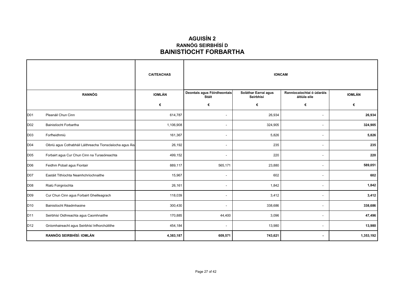### **AGUISÍN 2 RANNÓG SEIRBHÍSÍ D BAINISTÍOCHT FORBARTHA**

|                 |                                                           | <b>CAITEACHAS</b> | <b>IONCAM</b>                        |                                   |                                           |               |
|-----------------|-----------------------------------------------------------|-------------------|--------------------------------------|-----------------------------------|-------------------------------------------|---------------|
|                 | <b>RANNÓG</b>                                             | <b>IOMLÁN</b>     | Deontais agus Fóirdheontais<br>Stáit | Soláthar Earraí agus<br>Seirbhísí | Ranníocaíochtaí ó údaráis<br>áitiúla eile | <b>IOMLÁN</b> |
|                 |                                                           | €                 | €                                    | €                                 | €                                         | €             |
| D01             | Pleanáil Chun Cinn                                        | 614,787           | $\overline{\phantom{a}}$             | 26,934                            | $\overline{\phantom{a}}$                  | 26,934        |
| D02             | Bainistíocht Forbartha                                    | 1,106,908         | $\overline{\phantom{a}}$             | 324,905                           | $\overline{\phantom{a}}$                  | 324,905       |
| D03             | Forfheidhmiú                                              | 161,367           | $\overline{\phantom{a}}$             | 5,826                             |                                           | 5,826         |
| D04             | Oibriú agus Cothabháil Láithreacha Tionsclaíocha agus Áis | 26,192            | $\overline{\phantom{a}}$             | 235                               | $\overline{\phantom{a}}$                  | 235           |
| D05             | Forbairt agus Cur Chun Cinn na Turasóireachta             | 499,152           | $\overline{\phantom{a}}$             | 220                               | $\blacksquare$                            | 220           |
| D06             | Feidhm Pobail agus Fiontair                               | 889,117           | 565,171                              | 23,880                            |                                           | 589,051       |
| D07             | Eastáit Tithíochta Neamhchríochnaithe                     | 15,967            | $\overline{\phantom{a}}$             | 602                               | $\blacksquare$                            | 602           |
| D08             | Rialú Foirgníochta                                        | 26,161            | $\overline{\phantom{a}}$             | 1,842                             | $\overline{\phantom{a}}$                  | 1,842         |
| D <sub>09</sub> | Cur Chun Cinn agus Forbairt Gheilleagrach                 | 118,039           | $\overline{\phantom{a}}$             | 3,412                             | $\overline{\phantom{a}}$                  | 3,412         |
| D <sub>10</sub> | Bainistíocht Réadmhaoine                                  | 300,430           | $\overline{a}$                       | 338,686                           |                                           | 338,686       |
| D11             | Seirbhísí Oidhreachta agus Caomhnaithe                    | 170,885           | 44,400                               | 3,096                             | $\overline{\phantom{a}}$                  | 47,496        |
| D12             | Gníomhaireacht agus Seirbhísí Infhorchúitithe             | 454,184           | $\overline{\phantom{a}}$             | 13,980                            | $\sim$                                    | 13,980        |
|                 | RANNÓG SEIRBHÍSÍ: IOMLÁN                                  | 4,383,187         | 609,571                              | 743,621                           | $\blacksquare$                            | 1,353,192     |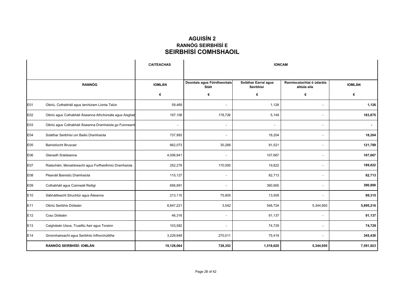### **AGUISÍN 2 RANNÓG SEIRBHÍSÍ E SEIRBHÍSÍ COMHSHAOIL**

|                 |                                                          | <b>CAITEACHAS</b> | <b>IONCAM</b>                        |                                   |                                           |               |
|-----------------|----------------------------------------------------------|-------------------|--------------------------------------|-----------------------------------|-------------------------------------------|---------------|
|                 | <b>RANNÓG</b>                                            | <b>IOMLÁN</b>     | Deontais agus Fóirdheontais<br>Stáit | Soláthar Earraí agus<br>Seirbhísí | Ranníocaíochtaí ó údaráis<br>áitiúla eile | <b>IOMLÁN</b> |
|                 |                                                          | €                 | €                                    | €                                 | €                                         | €             |
| E01             | Oibriú, Cothabháil agus Iarchúram Líonta Talún           | 59,469            | $\blacksquare$                       | 1,126                             |                                           | 1,126         |
| E02             | Oibriú agus Cothabháil Áiseanna Athchúrsála agus Aisghab | 197,108           | 178,726                              | 5,149                             | ÷                                         | 183,875       |
| E03             | Oibriú agus Cothabháil Áiseanna Dramhaíola go Fuinneam   | $\sim$            | $\overline{\phantom{a}}$             | $\overline{\phantom{a}}$          | $\overline{a}$                            |               |
| E04             | Soláthar Seirbhísí um Bailiú Dramhaíola                  | 737,993           | $\overline{\phantom{a}}$             | 18,204                            |                                           | 18,204        |
| E05             | <b>Bainistíocht Bruscair</b>                             | 662,073           | 30,268                               | 91,521                            |                                           | 121,789       |
| E06             | Glanadh Sráideanna                                       | 4,006,941         | $\overline{\phantom{a}}$             | 107,667                           |                                           | 107,667       |
| <b>E07</b>      | Rialacháin, Monatóireacht agus Forfheidhmiú Dramhaíola   | 252,279           | 170,000                              | 19,822                            |                                           | 189,822       |
| E08             | Pleanáil Bainistiú Dramhaíola                            | 115,127           | $\overline{\phantom{a}}$             | 82,713                            |                                           | 82,713        |
| E09             | Cothabháil agus Coinneáil Reiligí                        | 656,891           | $\overline{a}$                       | 390,900                           |                                           | 390,900       |
| E10             | Sábháilteacht Struchtúr agus Áiteanna                    | 213,115           | 75,805                               | 13,509                            |                                           | 89,315        |
| E <sub>11</sub> | Oibriú Seirbhís Dóiteáin                                 | 8,847,221         | 3,542                                | 546,724                           | 5,344,950                                 | 5,895,216     |
| E <sub>12</sub> | Cosc Dóiteáin                                            | 46,316            | $\overline{\phantom{a}}$             | 91,137                            |                                           | 91,137        |
| E13             | Caighdeán Uisce, Truailliú Aeir agus Torainn             | 103,582           | $\overline{\phantom{a}}$             | 74,729                            |                                           | 74,729        |
| E14             | Gníomhaireacht agus Seirbhísí Infhorchúitithe            | 3,229,948         | 270,011                              | 75,419                            |                                           | 345,430       |
|                 | <b>RANNÓG SEIRBHÍSÍ: IOMLÁN</b>                          | 19,128,064        | 728,353                              | 1,518,620                         | 5,344,950                                 | 7,591,923     |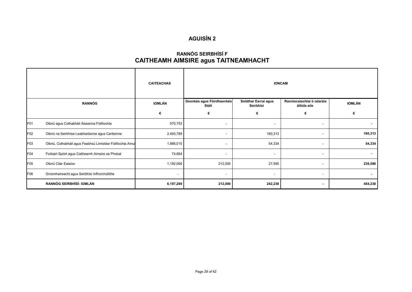### **CAITHEAMH AIMSIRE agus TAITNEAMHACHT RANNÓG SEIRBHÍSÍ F**

|               |                                                            | <b>CAITEACHAS</b> |                                      |                                   | <b>IONCAM</b>                             |                |
|---------------|------------------------------------------------------------|-------------------|--------------------------------------|-----------------------------------|-------------------------------------------|----------------|
| <b>RANNÓG</b> |                                                            | IOMLÁN            | Deontais agus Fóirdheontais<br>Stáit | Soláthar Earraí agus<br>Seirbhísí | Ranníocaíochtaí ó údaráis<br>áitiúla eile | <b>IOMLÁN</b>  |
|               |                                                            | €                 | €                                    | €                                 | €                                         | €              |
| F01           | Oibriú agus Cothabháil Áiseanna Fóillíochta                | 570,753           | $\overline{\phantom{a}}$             | $\overline{\phantom{a}}$          | $\overline{\phantom{a}}$                  | ۰              |
| F02           | Oibriú na Seirbhíse Leabharlainne agus Cartlainne          | 2,493,789         | $\overline{\phantom{a}}$             | 160,313                           | $\overline{\phantom{a}}$                  | 160,313        |
| F03           | Oibriú, Cothabháil agus Feabhsú Limistéar Fóillíochta Amui | 1,866,015         |                                      | 54,334                            |                                           | 54,334         |
| F04           | Forbairt Spóirt agus Caitheamh Aimsire sa Phobal           | 74,664            | $\overline{\phantom{a}}$             | $\overline{\phantom{a}}$          |                                           | $\blacksquare$ |
| F05           | Oibriú Cláir Ealaíon                                       | 1,192,068         | 212,000                              | 27,590                            | $\overline{\phantom{a}}$                  | 239,590        |
| F06           | Gníomhaireacht agus Seirbhísí Infhorchúitithe              | $\sim$            | $\overline{\phantom{a}}$             | $\overline{\phantom{a}}$          | $\sim$                                    | ٠              |
|               | RANNÓG SEIRBHÍSÍ: IOMLÁN                                   | 6,197,289         | 212,000                              | 242,238                           | $\blacksquare$                            | 454,238        |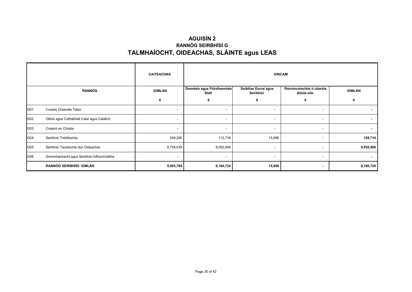## **AGUISÍN 2 TALMHAÍOCHT, OIDEACHAS, SLÁINTE agus LEAS RANNÓG SEIRBHÍSÍ G**

|               |                                               | <b>CAITEACHAS</b>        |                                      |                                   | <b>IONCAM</b>                             |                |
|---------------|-----------------------------------------------|--------------------------|--------------------------------------|-----------------------------------|-------------------------------------------|----------------|
| <b>RANNÓG</b> |                                               | IOMLÁN                   | Deontais agus Fóirdheontais<br>Stáit | Soláthar Earraí agus<br>Seirbhísí | Ranníocaíochtaí ó údaráis<br>áitiúla eile | <b>IOMLÁN</b>  |
|               |                                               | €                        | €                                    | €                                 | €                                         |                |
| G01           | Costais Draenála Talún                        | $\overline{\phantom{a}}$ | $\overline{\phantom{a}}$             | $\overline{\phantom{a}}$          | $\overline{\phantom{a}}$                  | ۰.             |
| G02           | Oibriú agus Cothabháil Calaí agus Calafort    | -                        | $\overline{\phantom{a}}$             |                                   |                                           | ۰              |
| G03           | Cosaint an Chósta                             | $\overline{\phantom{a}}$ | $\sim$                               | $\overline{\phantom{a}}$          | $\overline{\phantom{a}}$                  | $\blacksquare$ |
| G04           | Seirbhísí Tréidliachta                        | 249,260                  | 112,718                              | 15,996                            | $\overline{\phantom{a}}$                  | 128,714        |
| G05           | Seirbhísí Tacaíochta don Oideachas            | 8,754,539                | 9,052,006                            | $\sim$                            | $\overline{\phantom{a}}$                  | 9,052,006      |
| G06           | Gníomhaireacht agus Seirbhísí Infhorchúitithe | $\overline{\phantom{a}}$ | $\overline{\phantom{a}}$             | $\sim$                            | $\overline{\phantom{a}}$                  |                |
|               | RANNÓG SEIRBHÍSÍ: IOMLÁN                      | 9,003,799                | 9,164,724                            | 15,996                            | $\blacksquare$                            | 9,180,720      |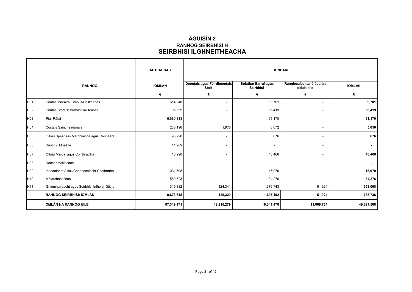### **AGUISÍN 2 SEIRBHÍSÍ ILGHNÉITHEACHA RANNÓG SEIRBHÍSÍ H**

|                 |                                               | <b>CAITEACHAS</b>        | <b>IONCAM</b>                        |                                   |                                           |               |  |
|-----------------|-----------------------------------------------|--------------------------|--------------------------------------|-----------------------------------|-------------------------------------------|---------------|--|
|                 | <b>RANNÓG</b>                                 | <b>IOMLÁN</b>            | Deontais agus Fóirdheontais<br>Stáit | Soláthar Earraí agus<br>Seirbhísí | Ranníocaíochtaí ó údaráis<br>áitiúla eile | <b>IOMLÁN</b> |  |
|                 |                                               | €                        | €                                    | €                                 | €                                         | €             |  |
| H01             | Cuntas Innealra: Brabús/Caillteanas           | 614,548                  | $\overline{\phantom{a}}$             | 9,701                             | $\sim$                                    | 9,701         |  |
| H02             | Cuntas Stórais: Brabús/Caillteanas            | 95,539                   | $\overline{\phantom{a}}$             | 66,419                            | $\overline{\phantom{a}}$                  | 66,419        |  |
| H03             | Riar Rátaí                                    | 6,680,813                | $\overline{\phantom{a}}$             | 51,170                            | $\overline{\phantom{a}}$                  | 51,170        |  |
| H04             | Costais Saincheadúnais                        | 235,196                  | 1,978                                | 3,072                             | $\sim$                                    | 5,050         |  |
| H05             | Oibriú Speansas Marbhlainne agus Cróinéara    | 93,290                   | $\overline{\phantom{a}}$             | 676                               | ٠.                                        | 676           |  |
| H06             | Droichid Mheáite                              | 11,269                   | $\overline{\phantom{a}}$             | $\overline{\phantom{a}}$          | $\sim$                                    |               |  |
| H07             | Oibriú Margaí agus Corrthrádála               | 10,990                   | $\overline{\phantom{a}}$             | 48,466                            |                                           | 48,466        |  |
| H08             | Dochar Mailíseach                             | $\overline{\phantom{a}}$ | $\overline{\phantom{a}}$             |                                   | $\overline{\phantom{a}}$                  | $\sim$        |  |
| H09             | Ionadaíocht Áitiúil/Ceannasaíocht Chathartha  | 1,031,598                | $\overline{a}$                       | 16,970                            | $\overline{\phantom{a}}$                  | 16,970        |  |
| H <sub>10</sub> | Mótarchánachas                                | 580,623                  | $\overline{\phantom{a}}$             | 34,276                            |                                           | 34,276        |  |
| H <sub>11</sub> | Gníomhaireacht agus Seirbhísí Infhorchúitithe | 319,882                  | 124,341                              | 1,376,743                         | 51,924                                    | 1,553,008     |  |
|                 | <b>RANNÓG SEIRBHÍSÍ: IOMLÁN</b>               | 9,673,748                | 126,320                              | 1,607,492                         | 51,924                                    | 1,785,736     |  |
|                 | <b>IOMLÁN NA RANNÓG UILE</b>                  | 87,319,171               | 19,216,279                           | 19,341,476                        | 11,069,754                                | 49,627,508    |  |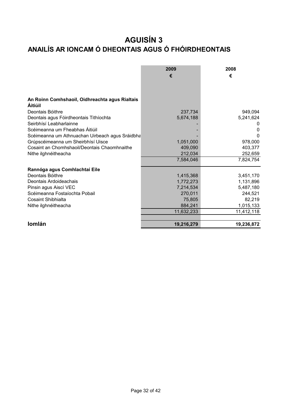# **ANAILÍS AR IONCAM Ó DHEONTAIS AGUS Ó FHÓIRDHEONTAIS AGUISÍN 3**

|                                                 | 2009       | 2008       |
|-------------------------------------------------|------------|------------|
|                                                 | €          | €          |
|                                                 |            |            |
|                                                 |            |            |
|                                                 |            |            |
| An Roinn Comhshaoil, Oidhreachta agus Rialtais  |            |            |
| <b>Aitiúil</b>                                  |            |            |
| Deontais Bóithre                                | 237,734    | 949,094    |
| Deontais agus Fóirdheontais Tithíochta          | 5,674,188  | 5,241,624  |
| Seirbhísí Leabharlainne                         |            |            |
| Scéimeanna um Fheabhas Áitiúil                  |            | O          |
| Scéimeanna um Athnuachan Uirbeach agus Sráidbha |            | 0          |
| Grúpscéimeanna um Sheirbhísí Uisce              | 1,051,000  | 978,000    |
| Cosaint an Chomhshaoil/Deontais Chaomhnaithe    | 409,090    | 403,377    |
| Nithe ilghnéitheacha                            | 212,034    | 252,659    |
|                                                 | 7,584,046  | 7,824,754  |
| Rannóga agus Comhlachtaí Eile                   |            |            |
| Deontais Bóithre                                | 1,415,368  | 3,451,170  |
| Deontais Ardoideachais                          | 1,772,273  | 1,131,896  |
| Pinsin agus Aiscí VEC                           | 7,214,534  | 5,487,180  |
| Scéimeanna Fostaíochta Pobail                   | 270,011    | 244,521    |
| <b>Cosaint Shibhialta</b>                       | 75,805     | 82,219     |
| Nithe ilghnéitheacha                            | 884,241    | 1,015,133  |
|                                                 | 11,632,233 | 11,412,118 |
|                                                 |            |            |
| Iomlán                                          | 19,216,279 | 19,236,872 |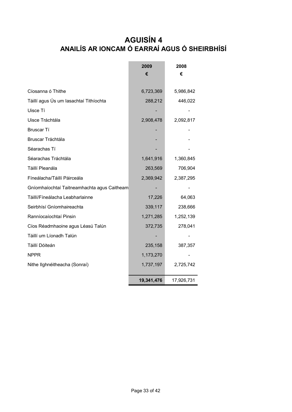# **AGUISÍN 4 ANAILÍS AR IONCAM Ó EARRAÍ AGUS Ó SHEIRBHÍSÍ**

|                                             | 2009       | 2008       |
|---------------------------------------------|------------|------------|
|                                             | €          | €          |
|                                             |            |            |
| Cíosanna ó Thithe                           | 6,723,369  | 5,986,842  |
| Táillí agus Ús um lasachtaí Tithíochta      | 288,212    | 446,022    |
| Uisce Tí                                    |            |            |
| Uisce Tráchtála                             | 2,908,478  | 2,092,817  |
| Bruscar Tí                                  |            |            |
| Bruscar Tráchtála                           |            |            |
| Séarachas Tí                                |            |            |
| Séarachas Tráchtála                         | 1,641,916  | 1,360,845  |
| Táillí Pleanála                             | 263,569    | 706,904    |
| Fíneálacha/Táillí Páirceála                 | 2,369,942  | 2,387,295  |
| Gníomhaíochtaí Taitneamhachta agus Caitheam |            |            |
| Táillí/Fíneálacha Leabharlainne             | 17,226     | 64,063     |
| Seirbhísí Gníomhaireachta                   | 339,117    | 238,666    |
| Ranníocaíochtaí Pinsin                      | 1,271,285  | 1,252,139  |
| Cíos Réadmhaoine agus Léasú Talún           | 372,735    | 278,041    |
| Táillí um Líonadh Talún                     |            |            |
| Táillí Dóiteán                              | 235,158    | 387,357    |
| <b>NPPR</b>                                 | 1,173,270  |            |
| Nithe Ilghnéitheacha (Sonraí)               | 1,737,197  | 2,725,742  |
|                                             | 19,341,476 | 17,926,731 |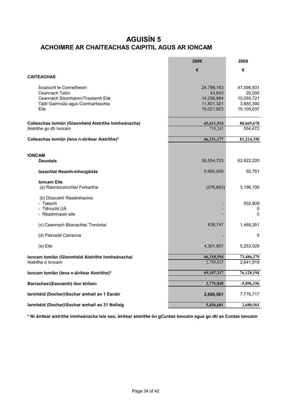# **ACHOIMRE AR CHAITEACHAS CAIPITIL AGUS AR IONCAM AGUISÍN 5**

|                                                     | 2009       | 2008                 |
|-----------------------------------------------------|------------|----------------------|
|                                                     | €          | €                    |
| <b>CAITEACHAS</b>                                   |            |                      |
| locaíocht le Conraitheoirí                          | 24,788,163 |                      |
| Ceannach Talún                                      | 43,643     | 47,598,931<br>20,000 |
| Ceannach Sócmhainní/Trealamh Eile                   | 14,256,984 | 10,055,721           |
| Táillí Gairmiúla agus Comhairleachta                | 11,501,321 | 3,885,390            |
| Eile                                                | 15,021,823 | 19,109,637           |
|                                                     |            |                      |
| Caiteachas Iomlán (Glanmhéid Aistrithe Inmheánacha) | 65,611,934 | 80,669,678           |
| Aistrithe go dtí Ioncam                             | 719,243    | 554,672              |
| Caiteachas Iomlán (Iena n-áirítear Aistrithe)*      | 66,331,177 | 81,224,350           |
|                                                     |            |                      |
|                                                     |            |                      |
| <b>IONCAM</b><br><b>Deontais</b>                    | 55,554,703 | 62,922,220           |
|                                                     |            |                      |
| lasachtaí Neamh-mhorgáiste                          | 5,900,000  | 92,761               |
| <b>Ioncam Eile</b>                                  |            |                      |
| (a) Ranníocaíochtaí Forbartha                       | (276, 663) | 3,196,106            |
| (b) Diúscairtí Réadmhaoine                          |            |                      |
| - Talamh                                            |            | 552,809              |
| - Tithíocht ÚÁ                                      |            | 0                    |
| - Réadmhaoin eile                                   |            | $\Omega$             |
|                                                     |            |                      |
| (c) Ceannach Blianachtaí Tionóntaí                  | 838,747    | 1,469,351            |
| (d) Páirceáil Carranna                              |            | 0                    |
| (e) Eile                                            | 4,301,807  | 5,253,029            |
|                                                     |            |                      |
| Ioncam Iomlán (Glanmhéid Aistrithe Inmheánacha)     | 66,318,594 | 73,486,275           |
| Aistrithe ó Ioncam                                  | 2,788,623  | 2,641,919            |
| Ioncam Iomlán (lena n-áirítear Aistrithe)*          | 69,107,217 | 76,128,194           |
| Barrachas\(Easnamh) don bhliain                     | 2,776,040  | $-5,096,156$         |
|                                                     |            |                      |
| Iarmhéid (Dochar)\Sochar amhail an 1 Eanáir         | 2,680,561  | 7,776,717            |
| Iarmhéid (Dochar)\Sochar amhail an 31 Nollaig       | 5,456,601  | 2,680,561            |

**\* Ní áirítear aistrithe inmheánacha leis seo, áirítear aistrithe ón gCuntas Ioncaim agus go dtí an Cuntas Ioncaim**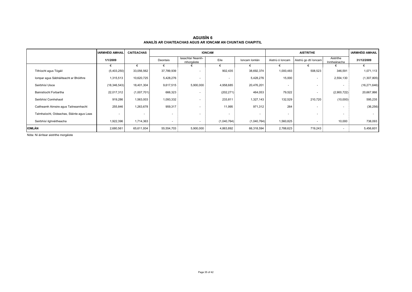|                                           | <b>IARMHÉID AMHAIL</b> | <b>CAITEACHAS</b> | <b>IONCAM</b> |                                |             |               | <b>AISTRITHE</b> |                          | <b>IARMHÉID AMHAIL</b>   |                |
|-------------------------------------------|------------------------|-------------------|---------------|--------------------------------|-------------|---------------|------------------|--------------------------|--------------------------|----------------|
|                                           | 1/1/2009               |                   | Deontais      | lasachtaí Neamh-<br>mhorgáiste | Eile        | Ioncam Iomlán | Aistriú ó Ioncam | Aistriú go dtí loncam    | Aistrithe<br>Inmheánacha | 31/12/2009     |
|                                           |                        |                   |               |                                |             |               |                  |                          |                          |                |
| Tithíocht agus Tógáil                     | (5,403,250)            | 33,056,562        | 37,789,939    | $\overline{\phantom{a}}$       | 902,435     | 38,692,374    | 1,000,483        | 508,523                  | 346,591                  | 1,071,113      |
| Iompar agus Sábháilteacht ar Bhóithre     | 1,315,513              | 10,620,725        | 5,428,276     | $\overline{\phantom{a}}$       | . .         | 5,428,276     | 15,000           | $\overline{\phantom{a}}$ | 2,554,130                | (1,307,805)    |
| Seirbhísí Uisce                           | (18, 346, 543)         | 18,401,304        | 9,617,515     | 5,900,000                      | 4,958,685   | 20,476,201    |                  | $\overline{\phantom{a}}$ |                          | (16, 271, 646) |
| Bainistíocht Forbartha                    | 22,017,312             | (1,007,701)       | 666,323       | $\overline{\phantom{a}}$       | (202, 271)  | 464,053       | 79,522           | $\overline{\phantom{a}}$ | (2,900,722)              | 20,667,866     |
| Seirbhísí Comhshaoil                      | 919,286                | 1,563,003         | 1,093,332     | $\overline{\phantom{a}}$       | 233,811     | 1,327,143     | 132,529          | 210,720                  | (10,000)                 | 595,235        |
| Caitheamh Aimsire agus Taitneamhacht      | 255,846                | 1,263,678         | 959,317       | ۰                              | 11,995      | 971,312       | 264              | $\overline{\phantom{a}}$ |                          | (36, 256)      |
| Talmhaíocht, Oideachas, Sláinte agus Leas |                        |                   | $\sim$        | $\overline{\phantom{a}}$       |             |               |                  | $\overline{\phantom{a}}$ |                          |                |
| Seirbhísí ilghnéitheacha                  | 1,922,396              | 1,714,363         | $\sim$        | $\overline{\phantom{a}}$       | (1,040,764) | (1,040,764)   | 1,560,825        | $\overline{\phantom{a}}$ | 10,000                   | 738,093        |
| IOMLÁN                                    | 2,680,561              | 65,611,934        | 55,554,703    | 5,900,000                      | 4,863,892   | 66,318,594    | 2,788,623        | 719,243                  |                          | 5,456,601      |

**AGUISÍN 6 ANAILÍS AR CHAITEACHAS AGUS AR IONCAM AN CHUNTAIS CHAIPITIL**

Nóta: Ní áirítear aistrithe morgáiste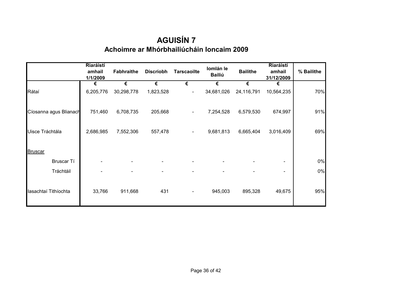# **Achoimre ar Mhórbhailiúcháin Ioncaim 2009 AGUISÍN 7**

|                        | Riaráistí<br>amhail<br>1/1/2009 | <b>Fabhraithe</b> | <b>Discriobh</b> | <b>Tarscaoilte</b> | Iomlán le<br><b>Bailiú</b> | <b>Bailithe</b> | Riaráistí<br>amhail<br>31/12/2009 | % Bailithe |
|------------------------|---------------------------------|-------------------|------------------|--------------------|----------------------------|-----------------|-----------------------------------|------------|
|                        | €                               | €                 | €                | €                  | €                          | €               | €                                 |            |
| Rátaí                  | 6,205,776                       | 30,298,778        | 1,823,528        | $\qquad \qquad$    | 34,681,026                 | 24,116,791      | 10,564,235                        | 70%        |
| Cíosanna agus Blianach | 751,460                         | 6,708,735         | 205,668          | $\blacksquare$     | 7,254,528                  | 6,579,530       | 674,997                           | 91%        |
| Uisce Tráchtála        | 2,686,985                       | 7,552,306         | 557,478          | $\blacksquare$     | 9,681,813                  | 6,665,404       | 3,016,409                         | 69%        |
| Bruscar                |                                 |                   |                  |                    |                            |                 |                                   |            |
| Bruscar Tí             |                                 |                   |                  |                    |                            |                 |                                   | $0\%$      |
| Tráchtáil              |                                 |                   |                  |                    |                            |                 |                                   | 0%         |
| lasachtaí Tithíochta   | 33,766                          | 911,668           | 431              | $\blacksquare$     | 945,003                    | 895,328         | 49,675                            | 95%        |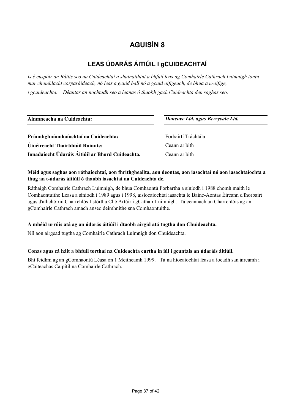# **LEAS ÚDARÁS ÁITIÚIL I gCUIDEACHTAÍ**

*Is é cuspóir an Ráitis seo na Cuideachtaí a shainaithint a bhfuil leas ag Comhairle Cathrach Luimnigh iontu mar chomhlacht corparáideach, nó leas a gcuid ball nó a gcuid oifigeach, de bhua a n-oifige, i gcuideachta. Déantar an nochtadh seo a leanas ó thaobh gach Cuideachta den saghas seo.*

| Ainmneacha na Cuideachta:                        | Doncove Ltd. agus Berryvale Ltd. |  |  |  |
|--------------------------------------------------|----------------------------------|--|--|--|
| Príomhghníomhaíochtaí na Cuideachta:             | Forbairtí Tráchtála              |  |  |  |
| Uinéireacht Thairbhiúil Roinnte:                 | Ceann ar bith                    |  |  |  |
| Ionadaíocht Údaráis Áitiúil ar Bhord Cuideachta. | Ceann ar bith                    |  |  |  |

#### **Méid agus saghas aon ráthaíochtaí, aon fhrithgheallta, aon deontas, aon iasachtaí nó aon iasachtaíochta a thug an t-údarás áitiúil ó thaobh iasachtaí na Cuideachta de.**

Ráthaigh Comhairle Cathrach Luimnigh, de bhua Comhaontú Forbartha a síníodh i 1988 chomh maith le Comhaontuithe Léasa a síníodh i 1989 agus i 1998, aisíocaíochtaí iasachta le Bainc-Aontas Éireann d'fhorbairt agus d'athchóiriú Charrchlós Ilstórtha Ché Artúir i gCathair Luimnigh. Tá ceannach an Charrchlóis ag an gComhairle Cathrach amach anseo deimhnithe sna Comhaontuithe.

#### **A mhéid urrúis atá ag an údarás áitiúil i dtaobh airgid atá tugtha don Chuideachta.**

Níl aon airgead tugtha ag Comhairle Cathrach Luimnigh don Chuideachta.

#### **Conas agus cá háit a bhfuil torthaí na Cuideachta curtha in iúl i gcuntais an údaráis áitiúil.**

Bhí feidhm ag an gComhaontú Léasa ón 1 Meitheamh 1999. Tá na híocaíochtaí léasa a íocadh san áireamh i gCaiteachas Caipitil na Comhairle Cathrach.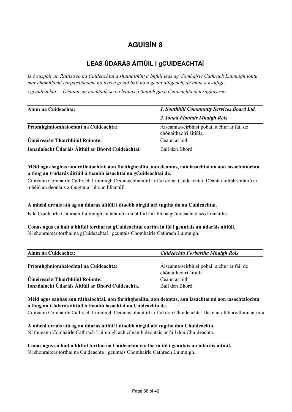# **LEAS ÚDARÁS ÁITIÚIL I gCUIDEACHTAÍ**

*Is é cuspóir an Ráitis seo na Cuideachtaí a shainaithint a bhfuil leas ag Comhairle Cathrach Luimnigh iontu mar chomhlacht corparáideach, nó leas a gcuid ball nó a gcuid oifigeach, de bhua a n-oifige,* 

*i gcuideachta. Déantar an nochtadh seo a leanas ó thaobh gach Cuideachta den saghas seo.*

| Ainm na Cuideachta:                               | 1. Southhill Community Services Board Ltd.                            |  |  |  |
|---------------------------------------------------|-----------------------------------------------------------------------|--|--|--|
|                                                   | 2. Ionad Fiontair Mhaigh Rois                                         |  |  |  |
| Príomhghníomhaíochtaí na Cuideachta:              | Áiseanna/seirbhísí pobail a chur ar fáil do<br>chónaitheoirí áitiúla. |  |  |  |
| Úinéireacht Thairbhiúil Roinnte:                  | Ceann ar bith                                                         |  |  |  |
| Ionadaíocht Údaráis Áitiúil ar Bhord Cuideachtaí. | Ball den Bhord                                                        |  |  |  |

#### **Méid agus saghas aon ráthaíochtaí, aon fhrithgheallta, aon deontas, aon iasachtaí nó aon iasachtaíochta a thug an t-údarás áitiúil ó thaobh iasachtaí na gCuideachtaí de.**

Cuireann Comhairle Cathrach Luimnigh Deontas bliantúil ar fáil do na Cuideachtaí. Déantar athbhreithniú ar mhéid an deontais a thugtar ar bhonn bliantúil.

### **A mhéid urrúis atá ag an údarás áitiúil i dtaobh airgid atá tugtha do na Cuideachtaí.**

Is le Comhairle Cathrach Luimnigh an talamh ar a bhfuil áitribh na gCuideachtaí seo lonnaithe.

### **Conas agus cá háit a bhfuil torthaí na gCuideachtaí curtha in iúl i gcuntais an údaráis áitiúil.**

Ní shonraítear torthaí na gCuideachtaí i gcuntais Chomhairle Cathrach Luimnigh.

| Ainm na Cuideachta:                              | Cuideachta Forbartha Mhaigh Rois                                      |  |  |  |
|--------------------------------------------------|-----------------------------------------------------------------------|--|--|--|
| Príomhghníomhaíochtaí na Cuideachta:             | Áiseanna/seirbhísí pobail a chur ar fáil do<br>chónaitheoirí áitiúla. |  |  |  |
| Úinéireacht Thairbhiúil Roinnte:                 | Ceann ar bith                                                         |  |  |  |
| Ionadaíocht Údaráis Áitiúil ar Bhord Cuideachta. | Ball den Bhord                                                        |  |  |  |

**Méid agus saghas aon ráthaíochtaí, aon fhrithgheallta, aon deontas, aon iasachtaí nó aon iasachtaíochta a thug an t-údarás áitiúil ó thaobh iasachtaí na Cuideachta de.** 

Cuireann Comhairle Cathrach Luimnigh Deontas bliantúil ar fáil don Chuideachta. Déantar athbhreithniú ar mhé

**A mhéid urrúis atá ag an údarás áitiúil i dtaobh airgid atá tugtha don Chuideachta.**  Ní thugann Comhairle Cathrach Luimnigh ach cúnamh deontais ar fáil don Chuideachta.

**Conas agus cá háit a bhfuil torthaí na Cuideachta curtha in iúl i gcuntais an údaráis áitiúil.** Ní shonraítear torthaí na Cuideachta i gcuntais Chomhairle Cathrach Luimnigh.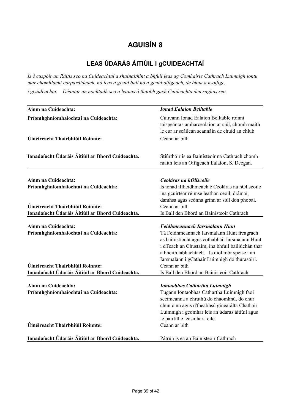# **LEAS ÚDARÁS ÁITIÚIL I gCUIDEACHTAÍ**

*Is é cuspóir an Ráitis seo na Cuideachtaí a shainaithint a bhfuil leas ag Comhairle Cathrach Luimnigh iontu mar chomhlacht corparáideach, nó leas a gcuid ball nó a gcuid oifigeach, de bhua a n-oifige,* 

*i gcuideachta. Déantar an nochtadh seo a leanas ó thaobh gach Cuideachta den saghas seo.*

| Ainm na Cuideachta:                                                                                                                                 | <b>Ionad Ealaíon Belltable</b>                                                                                                                                                                                                                                                                                                                     |
|-----------------------------------------------------------------------------------------------------------------------------------------------------|----------------------------------------------------------------------------------------------------------------------------------------------------------------------------------------------------------------------------------------------------------------------------------------------------------------------------------------------------|
| Príomhghníomhaíochtaí na Cuideachta:                                                                                                                | Cuireann Ionad Ealaíon Belltable roinnt<br>taispeántas amharcealaíon ar siúl, chomh maith<br>le cur ar scáileán scannáin de chuid an chlub                                                                                                                                                                                                         |
| Úinéireacht Thairbhiúil Roinnte:                                                                                                                    | Ceann ar bith                                                                                                                                                                                                                                                                                                                                      |
| Ionadaíocht Údaráis Áitiúil ar Bhord Cuideachta.                                                                                                    | Stiúrthóir is ea Bainisteoir na Cathrach chomh<br>maith leis an Oifigeach Ealaíon, S. Deegan.                                                                                                                                                                                                                                                      |
| Ainm na Cuideachta:<br>Príomhghníomhaíochtaí na Cuideachta:                                                                                         | Ceoláras na hOllscoile<br>Is ionad ilfheidhmeach é Ceoláras na hOllscoile<br>ina gcuirtear réimse leathan ceoil, drámaí,<br>damhsa agus seónna grinn ar siúl don phobal.                                                                                                                                                                           |
| Úinéireacht Thairbhiúil Roinnte:<br>Ionadaíocht Údaráis Áitiúil ar Bhord Cuideachta.                                                                | Ceann ar bith<br>Is Ball den Bhord an Bainisteoir Cathrach                                                                                                                                                                                                                                                                                         |
| Ainm na Cuideachta:<br>Príomhghníomhaíochtaí na Cuideachta:<br>Úinéireacht Thairbhiúil Roinnte:<br>Ionadaíocht Údaráis Áitiúil ar Bhord Cuideachta. | Feidhmeannach Iarsmalann Hunt<br>Tá Feidhmeannach Iarsmalann Hunt freagrach<br>as bainistíocht agus cothabháil Iarsmalann Hunt<br>i dTeach an Chustaim, ina bhfuil bailiúchán thar<br>a bheith tábhachtach. Is díol mór spéise í an<br>Iarsmalann i gCathair Luimnigh do thurasóirí.<br>Ceann ar bith<br>Is Ball den Bhord an Bainisteoir Cathrach |
| Ainm na Cuideachta:<br>Príomhghníomhaíochtaí na Cuideachta:<br>Úinéireacht Thairbhiúil Roinnte:                                                     | <b>Iontaobhas Cathartha Luimnigh</b><br>Tugann Iontaobhas Cathartha Luimnigh faoi<br>scéimeanna a chruthú do chaomhnú, do chur<br>chun cinn agus d'fheabhsú ginearálta Chathair<br>Luimnigh i gcomhar leis an údarás áitiúil agus<br>le páirtithe leasmhara eile.<br>Ceann ar bith                                                                 |
| Ionadaíocht Údaráis Áitiúil ar Bhord Cuideachta.                                                                                                    | Pátrún is ea an Bainisteoir Cathrach                                                                                                                                                                                                                                                                                                               |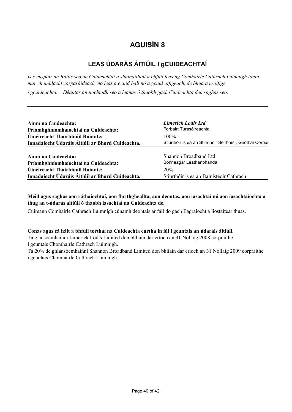# **LEAS ÚDARÁS ÁITIÚIL I gCUIDEACHTAÍ**

*Is é cuspóir an Ráitis seo na Cuideachtaí a shainaithint a bhfuil leas ag Comhairle Cathrach Luimnigh iontu mar chomhlacht corparáideach, nó leas a gcuid ball nó a gcuid oifigeach, de bhua a n-oifige,* 

*i gcuideachta. Déantar an nochtadh seo a leanas ó thaobh gach Cuideachta den saghas seo.*

|                                                  | <b>Limerick Lodis Ltd</b>                                |
|--------------------------------------------------|----------------------------------------------------------|
| Ainm na Cuideachta:                              |                                                          |
| Príomhghníomhaíochtaí na Cuideachta:             | Forbairt Turasóireachta                                  |
| Úinéireacht Thairbhiúil Roinnte:                 | $100\%$                                                  |
| Ionadaíocht Údaráis Áitiúil ar Bhord Cuideachta. | Stiúrthóir is ea an Stiúrthóir Seirbhísí, Gnóthaí Corpar |
|                                                  |                                                          |
| Ainm na Cuideachta:                              | Shannon Broadband Ltd                                    |
| Príomhghníomhaíochtaí na Cuideachta:             | Bonneagar Leathanbhanda                                  |
| Úinéireacht Thairbhiúil Roinnte:                 | 20%                                                      |
| Ionadaíocht Údaráis Áitiúil ar Bhord Cuideachta. | Stiúrthóir is ea an Bainisteoir Cathrach                 |

**Méid agus saghas aon ráthaíochtaí, aon fhrithgheallta, aon deontas, aon iasachtaí nó aon iasachtaíochta a thug an t-údarás áitiúil ó thaobh iasachtaí na Cuideachta de.** 

Cuireann Comhairle Cathrach Luimnigh cúnamh deontais ar fáil do gach Eagraíocht a liostaítear thuas.

#### **Conas agus cá háit a bhfuil torthaí na Cuideachta curtha in iúl i gcuntais an údaráis áitiúil.**

Tá glansócmhainní Limerick Lodis Limited don bhliain dar críoch an 31 Nollaig 2008 corpraithe i gcuntais Chomhairle Cathrach Luimnigh.

Tá 20% de ghlansócmhainní Shannon Broadband Limited don bhliain dar críoch an 31 Nollaig 2009 corpraithe i gcuntais Chomhairle Cathrach Luimnigh.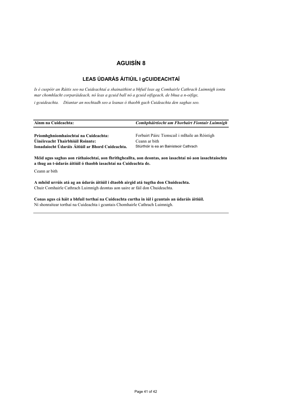### **LEAS ÚDARÁS ÁITIÚIL I gCUIDEACHTAÍ**

*Is é cuspóir an Ráitis seo na Cuideachtaí a shainaithint a bhfuil leas ag Comhairle Cathrach Luimnigh iontu mar chomhlacht corparáideach, nó leas a gcuid ball nó a gcuid oifigeach, de bhua a n-oifige,* 

*i gcuideachta. Déantar an nochtadh seo a leanas ó thaobh gach Cuideachta den saghas seo.*

| Ainm na Cuideachta:                  | Comhpháirtíocht um Fhorbairt Fiontair Luimnigh |
|--------------------------------------|------------------------------------------------|
| Príomhghníomhaíochtaí na Cuideachta: | Forbairt Páirc Tionscail i mBaile an Róistigh  |
| Úinéireacht Thairbhiúil Roinnte:     | Ceann ar bith                                  |

Stiúrthóir is ea an Bainisteoir Cathrach

**Méid agus saghas aon ráthaíochtaí, aon fhrithgheallta, aon deontas, aon iasachtaí nó aon iasachtaíochta a thug an t-údarás áitiúil ó thaobh iasachtaí na Cuideachta de.** 

Ceann ar bith

**A mhéid urrúis atá ag an údarás áitiúil i dtaobh airgid atá tugtha don Chuideachta.**  Chuir Comhairle Cathrach Luimnigh deontas aon uaire ar fáil don Chuideachta.

**Ionadaíocht Údaráis Áitiúil ar Bhord Cuideachta.**

**Conas agus cá háit a bhfuil torthaí na Cuideachta curtha in iúl i gcuntais an údaráis áitiúil.** Ní shonraítear torthaí na Cuideachta i gcuntais Chomhairle Cathrach Luimnigh.